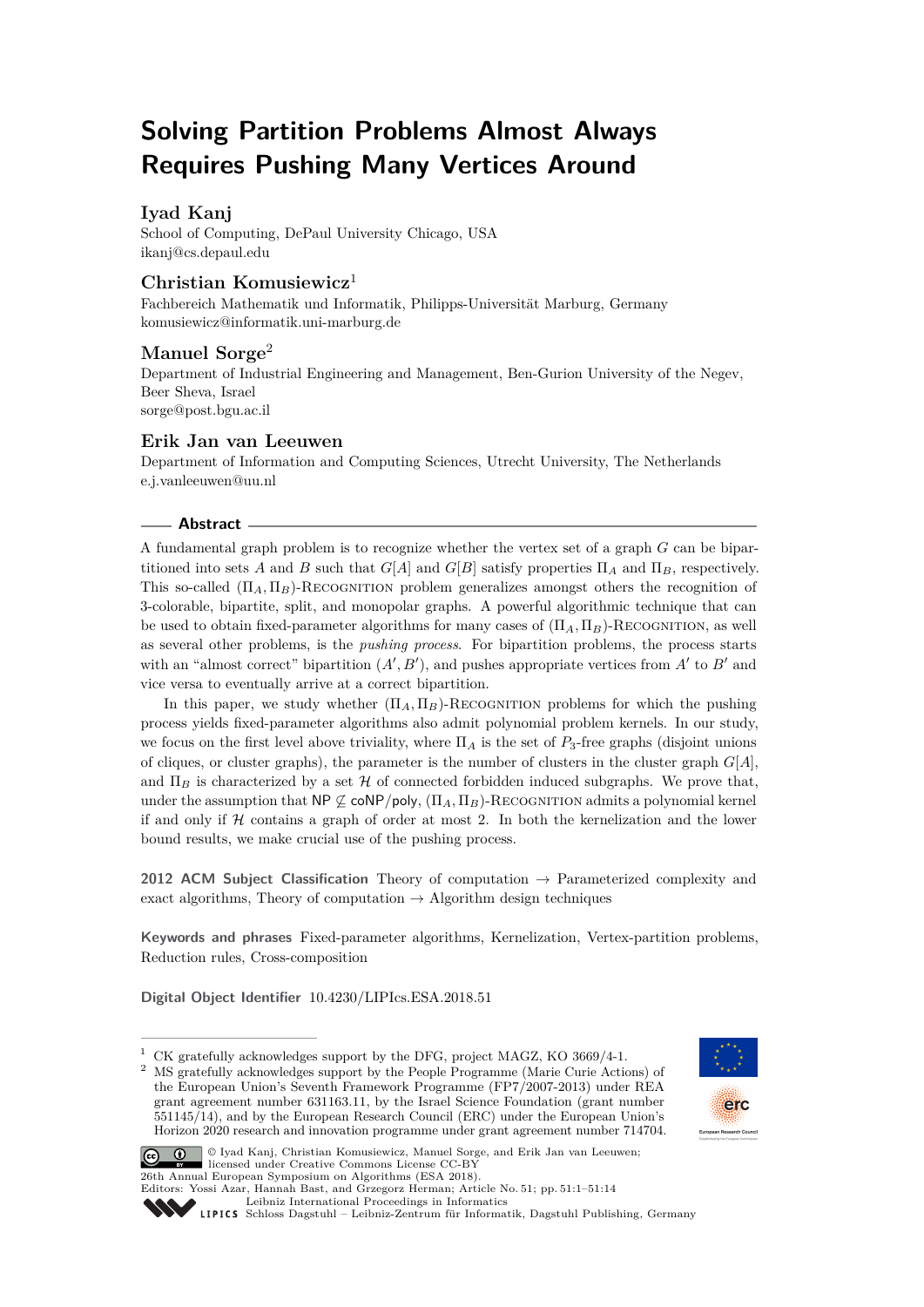# **Solving Partition Problems Almost Always Requires Pushing Many Vertices Around**

# **Iyad Kanj**

School of Computing, DePaul University Chicago, USA [ikanj@cs.depaul.edu](mailto:ikanj@cs.depaul.edu)

# **Christian Komusiewicz**<sup>1</sup>

Fachbereich Mathematik und Informatik, Philipps-Universität Marburg, Germany [komusiewicz@informatik.uni-marburg.de](mailto:komusiewicz@informatik.uni-marburg.de)

## **Manuel Sorge**<sup>2</sup>

Department of Industrial Engineering and Management, Ben-Gurion University of the Negev, Beer Sheva, Israel [sorge@post.bgu.ac.il](mailto:sorge@post.bgu.ac.il)

# **Erik Jan van Leeuwen**

Department of Information and Computing Sciences, Utrecht University, The Netherlands [e.j.vanleeuwen@uu.nl](mailto:e.j.vanleeuwen@uu.nl)

### **Abstract**

A fundamental graph problem is to recognize whether the vertex set of a graph *G* can be bipartitioned into sets *A* and *B* such that  $G[A]$  and  $G[B]$  satisfy properties  $\Pi_A$  and  $\Pi_B$ , respectively. This so-called  $(\Pi_A, \Pi_B)$ -RECOGNITION problem generalizes amongst others the recognition of 3-colorable, bipartite, split, and monopolar graphs. A powerful algorithmic technique that can be used to obtain fixed-parameter algorithms for many cases of  $(\Pi_A, \Pi_B)$ -RECOGNITION, as well as several other problems, is the *pushing process*. For bipartition problems, the process starts with an "almost correct" bipartition  $(A', B')$ , and pushes appropriate vertices from  $A'$  to  $B'$  and vice versa to eventually arrive at a correct bipartition.

In this paper, we study whether  $(\Pi_A, \Pi_B)$ -RECOGNITION problems for which the pushing process yields fixed-parameter algorithms also admit polynomial problem kernels. In our study, we focus on the first level above triviality, where  $\Pi_A$  is the set of  $P_3$ -free graphs (disjoint unions of cliques, or cluster graphs), the parameter is the number of clusters in the cluster graph  $G[A]$ , and  $\Pi_B$  is characterized by a set  $H$  of connected forbidden induced subgraphs. We prove that, under the assumption that  $NP \nsubseteq \text{coNP/poly}, (\Pi_A, \Pi_B)$ -RECOGNITION admits a polynomial kernel if and only if  $H$  contains a graph of order at most 2. In both the kernelization and the lower bound results, we make crucial use of the pushing process.

**2012 ACM Subject Classification** Theory of computation → Parameterized complexity and exact algorithms, Theory of computation  $\rightarrow$  Algorithm design techniques

**Keywords and phrases** Fixed-parameter algorithms, Kernelization, Vertex-partition problems, Reduction rules, Cross-composition

**Digital Object Identifier** [10.4230/LIPIcs.ESA.2018.51](http://dx.doi.org/10.4230/LIPIcs.ESA.2018.51)

<sup>2</sup> MS gratefully acknowledges support by the People Programme (Marie Curie Actions) of the European Union's Seventh Framework Programme (FP7/2007-2013) under REA grant agreement number 631163.11, by the Israel Science Foundation (grant number 551145/14), and by the European Research Council (ERC) under the European Union's Horizon 2020 research and innovation programme under grant agreement number 714704.





© Iyad Kanj, Christian Komusiewicz, Manuel Sorge, and Erik Jan van Leeuwen; licensed under Creative Commons License CC-BY 26th Annual European Symposium on Algorithms (ESA 2018). Editors: Yossi Azar, Hannah Bast, and Grzegorz Herman; Article No. 51; pp. 51:1–51[:14](#page-13-0) [Leibniz International Proceedings in Informatics](http://www.dagstuhl.de/lipics/)



 $^{\rm 1}$  CK gratefully acknowledges support by the DFG, project MAGZ, KO 3669/4-1.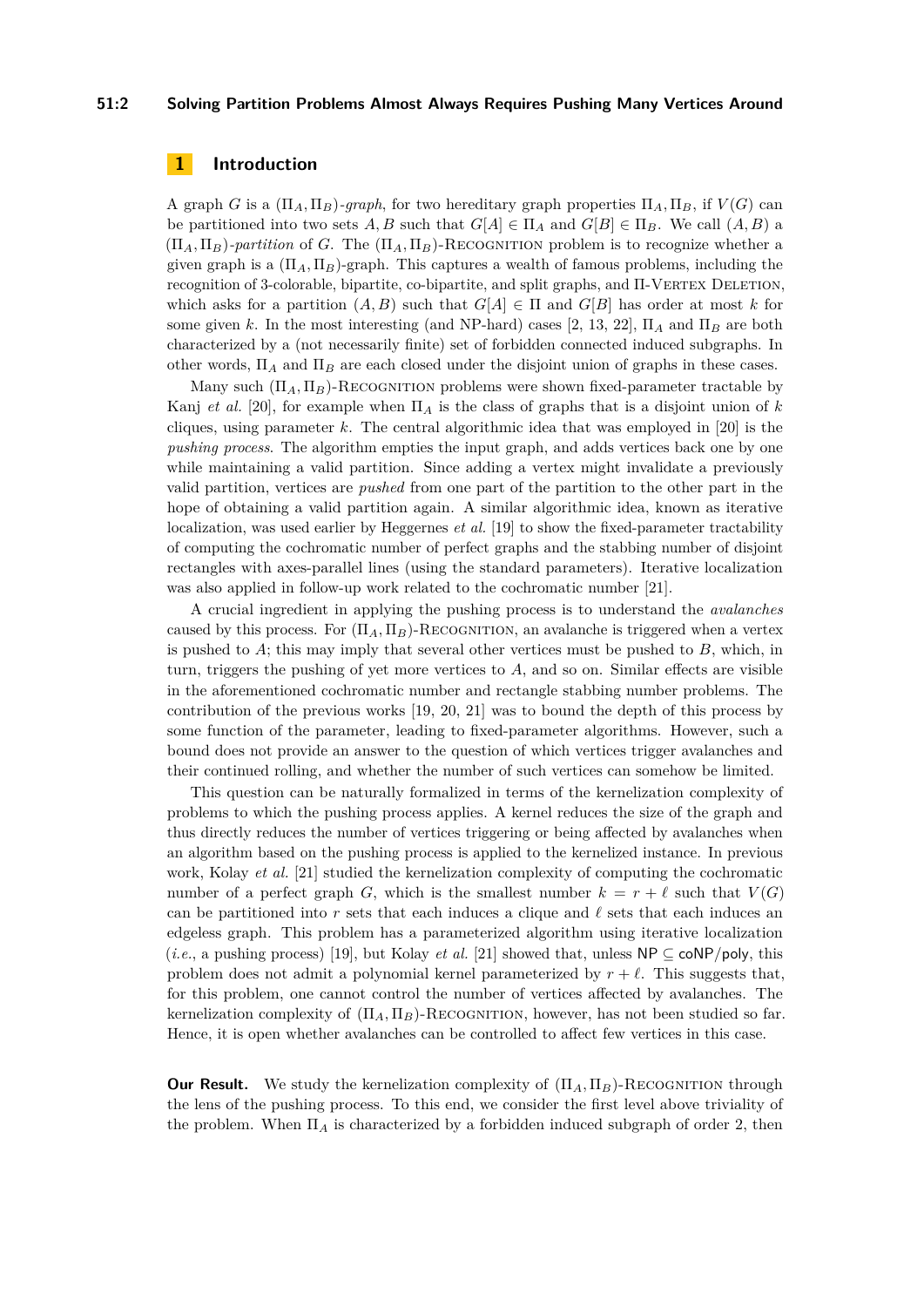### **51:2 Solving Partition Problems Almost Always Requires Pushing Many Vertices Around**

### **1 Introduction**

A graph *G* is a  $(\Pi_A, \Pi_B)$ -graph, for two hereditary graph properties  $\Pi_A, \Pi_B$ , if  $V(G)$  can be partitioned into two sets  $A, B$  such that  $G[A] \in \Pi_A$  and  $G[B] \in \Pi_B$ . We call  $(A, B)$  a  $(\Pi_A, \Pi_B)$ -partition of *G*. The  $(\Pi_A, \Pi_B)$ -RECOGNITION problem is to recognize whether a given graph is a  $(\Pi_A, \Pi_B)$ -graph. This captures a wealth of famous problems, including the recognition of 3-colorable, bipartite, co-bipartite, and split graphs, and  $\Pi$ -VERTEX DELETION, which asks for a partition  $(A, B)$  such that  $G[A] \in \Pi$  and  $G[B]$  has order at most *k* for some given k. In the most interesting (and NP-hard) cases [\[2,](#page-12-0) [13,](#page-12-1) [22\]](#page-13-1),  $\Pi_A$  and  $\Pi_B$  are both characterized by a (not necessarily finite) set of forbidden connected induced subgraphs. In other words,  $\Pi_A$  and  $\Pi_B$  are each closed under the disjoint union of graphs in these cases.

Many such  $(\Pi_A, \Pi_B)$ -RECOGNITION problems were shown fixed-parameter tractable by Kanj *et al.* [\[20\]](#page-13-2), for example when  $\Pi_A$  is the class of graphs that is a disjoint union of *k* cliques, using parameter *k*. The central algorithmic idea that was employed in [\[20\]](#page-13-2) is the *pushing process*. The algorithm empties the input graph, and adds vertices back one by one while maintaining a valid partition. Since adding a vertex might invalidate a previously valid partition, vertices are *pushed* from one part of the partition to the other part in the hope of obtaining a valid partition again. A similar algorithmic idea, known as iterative localization, was used earlier by Heggernes *et al.* [\[19\]](#page-13-3) to show the fixed-parameter tractability of computing the cochromatic number of perfect graphs and the stabbing number of disjoint rectangles with axes-parallel lines (using the standard parameters). Iterative localization was also applied in follow-up work related to the cochromatic number [\[21\]](#page-13-4).

A crucial ingredient in applying the pushing process is to understand the *avalanches* caused by this process. For  $(\Pi_A, \Pi_B)$ -RECOGNITION, an avalanche is triggered when a vertex is pushed to *A*; this may imply that several other vertices must be pushed to *B*, which, in turn, triggers the pushing of yet more vertices to *A*, and so on. Similar effects are visible in the aforementioned cochromatic number and rectangle stabbing number problems. The contribution of the previous works [\[19,](#page-13-3) [20,](#page-13-2) [21\]](#page-13-4) was to bound the depth of this process by some function of the parameter, leading to fixed-parameter algorithms. However, such a bound does not provide an answer to the question of which vertices trigger avalanches and their continued rolling, and whether the number of such vertices can somehow be limited.

This question can be naturally formalized in terms of the kernelization complexity of problems to which the pushing process applies. A kernel reduces the size of the graph and thus directly reduces the number of vertices triggering or being affected by avalanches when an algorithm based on the pushing process is applied to the kernelized instance. In previous work, Kolay *et al.* [\[21\]](#page-13-4) studied the kernelization complexity of computing the cochromatic number of a perfect graph *G*, which is the smallest number  $k = r + \ell$  such that  $V(G)$ can be partitioned into r sets that each induces a clique and  $\ell$  sets that each induces an edgeless graph. This problem has a parameterized algorithm using iterative localization (*i.e.*, a pushing process) [\[19\]](#page-13-3), but Kolay *et al.* [\[21\]](#page-13-4) showed that, unless  $\mathsf{NP} \subseteq \mathsf{coNP/poly}$ , this problem does not admit a polynomial kernel parameterized by  $r + \ell$ . This suggests that, for this problem, one cannot control the number of vertices affected by avalanches. The kernelization complexity of  $(\Pi_A, \Pi_B)$ -RECOGNITION, however, has not been studied so far. Hence, it is open whether avalanches can be controlled to affect few vertices in this case.

**Our Result.** We study the kernelization complexity of  $(\Pi_A, \Pi_B)$ -RECOGNITION through the lens of the pushing process. To this end, we consider the first level above triviality of the problem. When  $\Pi_A$  is characterized by a forbidden induced subgraph of order 2, then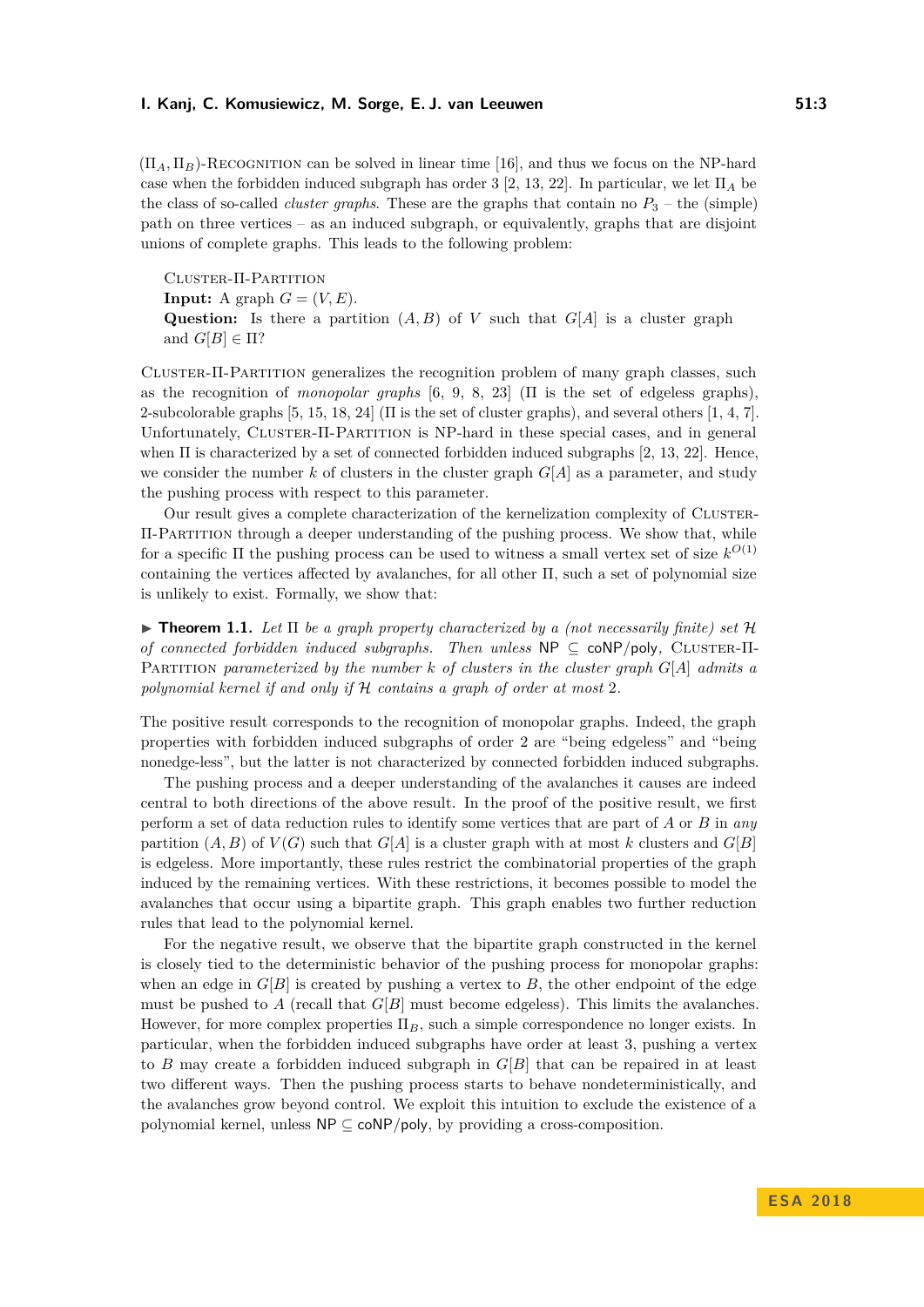$(\Pi_A, \Pi_B)$ -Recognition can be solved in linear time [\[16\]](#page-12-2), and thus we focus on the NP-hard case when the forbidden induced subgraph has order 3 [\[2,](#page-12-0) [13,](#page-12-1) [22\]](#page-13-1). In particular, we let Π*<sup>A</sup>* be the class of so-called *cluster graphs*. These are the graphs that contain no  $P_3$  – the (simple) path on three vertices – as an induced subgraph, or equivalently, graphs that are disjoint unions of complete graphs. This leads to the following problem:

Cluster-Π-Partition **Input:** A graph  $G = (V, E)$ . **Question:** Is there a partition  $(A, B)$  of *V* such that  $G[A]$  is a cluster graph and  $G[B] \in \Pi$ ?

Cluster-Π-Partition generalizes the recognition problem of many graph classes, such as the recognition of *monopolar graphs* [\[6,](#page-12-3) [9,](#page-12-4) [8,](#page-12-5) [23\]](#page-13-5) (Π is the set of edgeless graphs), 2-subcolorable graphs [\[5,](#page-12-6) [15,](#page-12-7) [18,](#page-12-8) [24\]](#page-13-6) ( $\Pi$  is the set of cluster graphs), and several others [\[1,](#page-12-9) [4,](#page-12-10) [7\]](#page-12-11). Unfortunately, CLUSTER-Π-PARTITION is NP-hard in these special cases, and in general when Π is characterized by a set of connected forbidden induced subgraphs [\[2,](#page-12-0) [13,](#page-12-1) [22\]](#page-13-1). Hence, we consider the number  $k$  of clusters in the cluster graph  $G[A]$  as a parameter, and study the pushing process with respect to this parameter.

Our result gives a complete characterization of the kernelization complexity of Cluster-Π-Partition through a deeper understanding of the pushing process. We show that, while for a specific Π the pushing process can be used to witness a small vertex set of size *k O*(1) containing the vertices affected by avalanches, for all other Π, such a set of polynomial size is unlikely to exist. Formally, we show that:

<span id="page-2-0"></span> $\triangleright$  **Theorem 1.1.** Let  $\Pi$  be a graph property characterized by a (not necessarily finite) set  $\mathcal{H}$ *of connected forbidden induced subgraphs. Then unless* NP ⊆ coNP/poly, CLUSTER-Π-Partition *parameterized by the number k of clusters in the cluster graph G*[*A*] *admits a polynomial kernel if and only if* H *contains a graph of order at most* 2*.*

The positive result corresponds to the recognition of monopolar graphs. Indeed, the graph properties with forbidden induced subgraphs of order 2 are "being edgeless" and "being nonedge-less", but the latter is not characterized by connected forbidden induced subgraphs.

The pushing process and a deeper understanding of the avalanches it causes are indeed central to both directions of the above result. In the proof of the positive result, we first perform a set of data reduction rules to identify some vertices that are part of *A* or *B* in *any* partition  $(A, B)$  of  $V(G)$  such that  $G[A]$  is a cluster graph with at most *k* clusters and  $G[B]$ is edgeless. More importantly, these rules restrict the combinatorial properties of the graph induced by the remaining vertices. With these restrictions, it becomes possible to model the avalanches that occur using a bipartite graph. This graph enables two further reduction rules that lead to the polynomial kernel.

For the negative result, we observe that the bipartite graph constructed in the kernel is closely tied to the deterministic behavior of the pushing process for monopolar graphs: when an edge in  $G[B]$  is created by pushing a vertex to  $B$ , the other endpoint of the edge must be pushed to *A* (recall that  $G[B]$  must become edgeless). This limits the avalanches. However, for more complex properties Π*B*, such a simple correspondence no longer exists. In particular, when the forbidden induced subgraphs have order at least 3, pushing a vertex to *B* may create a forbidden induced subgraph in *G*[*B*] that can be repaired in at least two different ways. Then the pushing process starts to behave nondeterministically, and the avalanches grow beyond control. We exploit this intuition to exclude the existence of a polynomial kernel, unless NP ⊆ coNP*/*poly, by providing a cross-composition.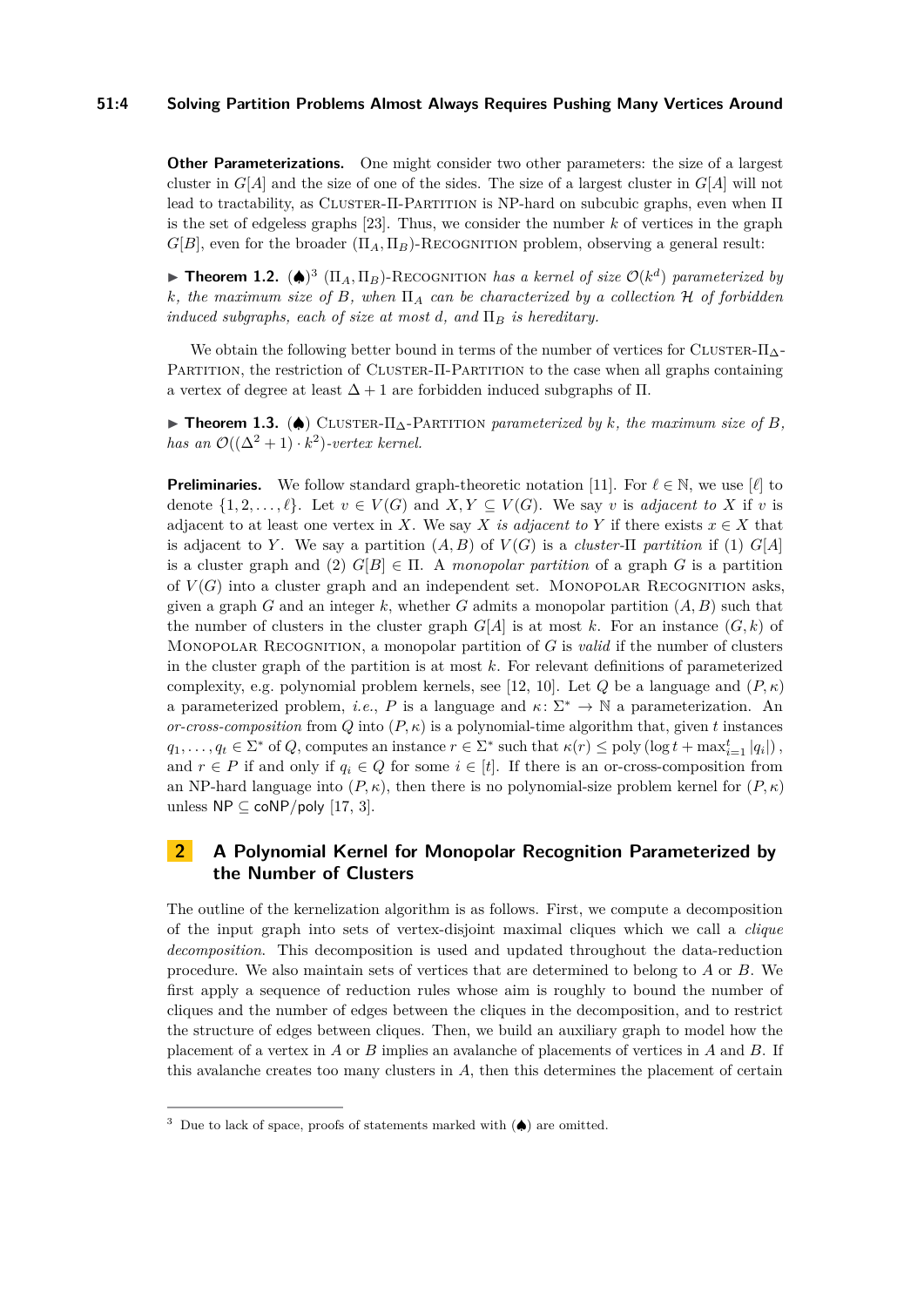### **51:4 Solving Partition Problems Almost Always Requires Pushing Many Vertices Around**

**Other Parameterizations.** One might consider two other parameters: the size of a largest cluster in  $G[A]$  and the size of one of the sides. The size of a largest cluster in  $G[A]$  will not lead to tractability, as CLUSTER- $\Pi$ -PARTITION is NP-hard on subcubic graphs, even when  $\Pi$ is the set of edgeless graphs [\[23\]](#page-13-5). Thus, we consider the number *k* of vertices in the graph  $G[B]$ , even for the broader  $(\Pi_A, \Pi_B)$ -RECOGNITION problem, observing a general result:

**Theorem 1.2.** ( $\spadesuit$ )<sup>[3](#page-3-0)</sup> ( $\Pi_A$ ,  $\Pi_B$ )-RECOGNITION *has a kernel of size*  $\mathcal{O}(k^d)$  *parameterized by k, the maximum size of B, when* Π*<sup>A</sup> can be characterized by a collection* H *of forbidden induced subgraphs, each of size at most d, and*  $\Pi_B$  *is hereditary.* 

We obtain the following better bound in terms of the number of vertices for CLUSTER- $\Pi_{\Delta}$ -PARTITION, the restriction of CLUSTER-II-PARTITION to the case when all graphs containing a vertex of degree at least ∆ + 1 are forbidden induced subgraphs of Π.

**► Theorem 1.3.** (◆) CLUSTER- $\Pi_{\Delta}$ -PARTITION *parameterized by k, the maximum size of B, has an*  $\mathcal{O}((\Delta^2 + 1) \cdot k^2)$ -vertex kernel.

**Preliminaries.** We follow standard graph-theoretic notation [\[11\]](#page-12-12). For  $\ell \in \mathbb{N}$ , we use  $[\ell]$  to denote  $\{1, 2, \ldots, \ell\}$ . Let  $v \in V(G)$  and  $X, Y \subseteq V(G)$ . We say *v* is *adjacent to X* if *v* is adjacent to at least one vertex in *X*. We say *X is adjacent to Y* if there exists  $x \in X$  that is adjacent to *Y*. We say a partition  $(A, B)$  of  $V(G)$  is a *cluster-II partition* if (1)  $G[A]$ is a cluster graph and (2)  $G[B] \in \Pi$ . A *monopolar partition* of a graph *G* is a partition of  $V(G)$  into a cluster graph and an independent set. MONOPOLAR RECOGNITION asks, given a graph *G* and an integer  $k$ , whether *G* admits a monopolar partition  $(A, B)$  such that the number of clusters in the cluster graph  $G[A]$  is at most k. For an instance  $(G, k)$  of Monopolar Recognition, a monopolar partition of *G* is *valid* if the number of clusters in the cluster graph of the partition is at most *k*. For relevant definitions of parameterized complexity, e.g. polynomial problem kernels, see [\[12,](#page-12-13) [10\]](#page-12-14). Let *Q* be a language and  $(P, \kappa)$ a parameterized problem, *i.e.*, *P* is a language and  $\kappa$ :  $\Sigma^* \to \mathbb{N}$  a parameterization. An *or-cross-composition* from *Q* into  $(P, \kappa)$  is a polynomial-time algorithm that, given *t* instances  $q_1, \ldots, q_t \in \Sigma^*$  of *Q*, computes an instance  $r \in \Sigma^*$  such that  $\kappa(r) \leq \text{poly}(\log t + \max_{i=1}^t |q_i|)$ , and  $r \in P$  if and only if  $q_i \in Q$  for some  $i \in [t]$ . If there is an or-cross-composition from an NP-hard language into  $(P, \kappa)$ , then there is no polynomial-size problem kernel for  $(P, \kappa)$ unless  $NP \subseteq coNP/poly$  [\[17,](#page-12-15) [3\]](#page-12-16).

# **2 A Polynomial Kernel for Monopolar Recognition Parameterized by the Number of Clusters**

The outline of the kernelization algorithm is as follows. First, we compute a decomposition of the input graph into sets of vertex-disjoint maximal cliques which we call a *clique decomposition*. This decomposition is used and updated throughout the data-reduction procedure. We also maintain sets of vertices that are determined to belong to *A* or *B*. We first apply a sequence of reduction rules whose aim is roughly to bound the number of cliques and the number of edges between the cliques in the decomposition, and to restrict the structure of edges between cliques. Then, we build an auxiliary graph to model how the placement of a vertex in *A* or *B* implies an avalanche of placements of vertices in *A* and *B*. If this avalanche creates too many clusters in *A*, then this determines the placement of certain

<span id="page-3-0"></span><sup>&</sup>lt;sup>3</sup> Due to lack of space, proofs of statements marked with  $(\spadesuit)$  are omitted.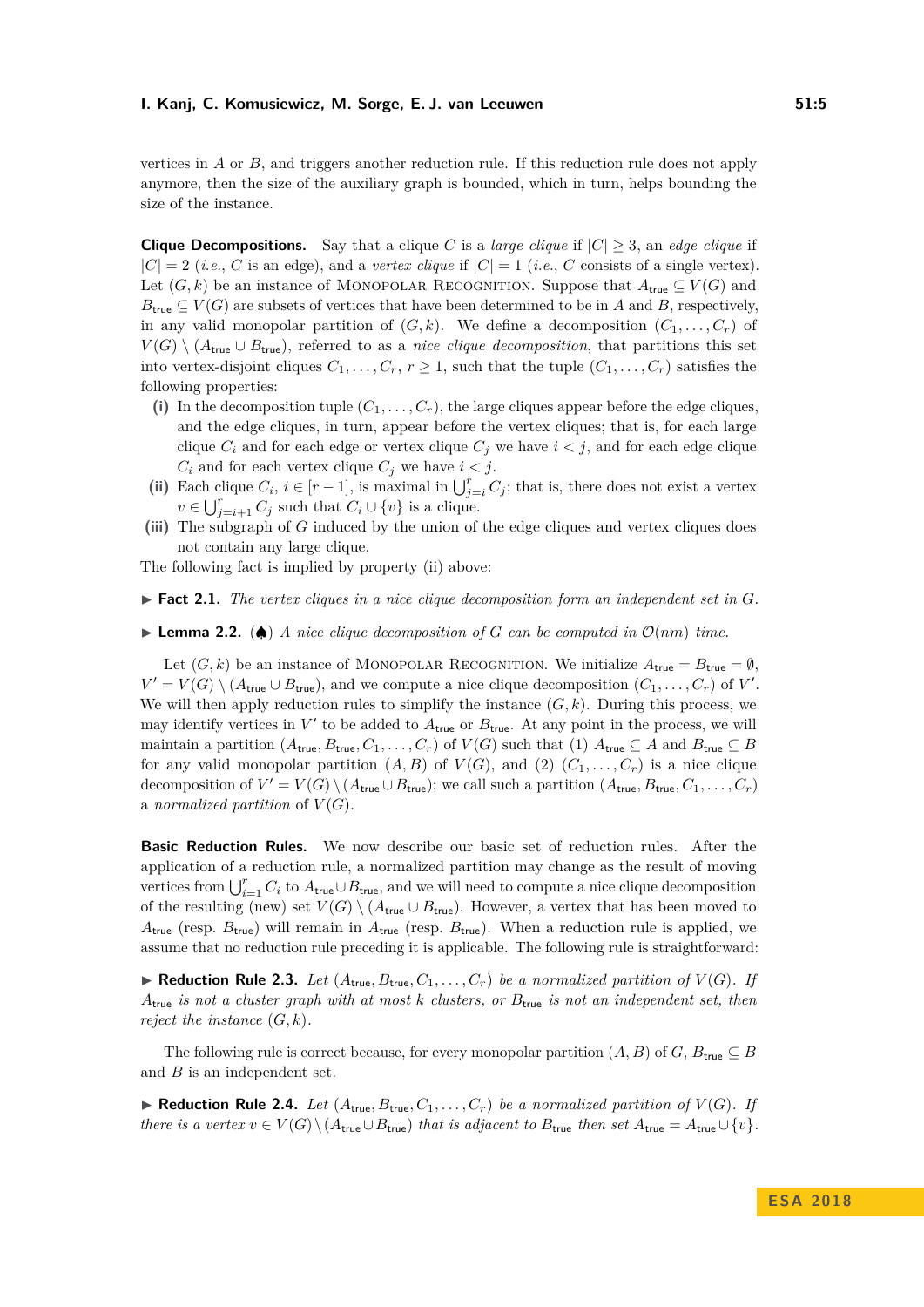vertices in *A* or *B*, and triggers another reduction rule. If this reduction rule does not apply anymore, then the size of the auxiliary graph is bounded, which in turn, helps bounding the size of the instance.

**Clique Decompositions.** Say that a clique *C* is a *large clique* if  $|C| \geq 3$ , an *edge clique* if  $|C| = 2$  (*i.e.*, *C* is an edge), and a *vertex clique* if  $|C| = 1$  (*i.e.*, *C* consists of a single vertex). Let  $(G, k)$  be an instance of MONOPOLAR RECOGNITION. Suppose that  $A_{true} \subseteq V(G)$  and  $B_{\text{true}} \subseteq V(G)$  are subsets of vertices that have been determined to be in *A* and *B*, respectively, in any valid monopolar partition of  $(G, k)$ . We define a decomposition  $(C_1, \ldots, C_r)$  of  $V(G) \setminus (A_{true} \cup B_{true}),$  referred to as a *nice clique decomposition*, that partitions this set into vertex-disjoint cliques  $C_1, \ldots, C_r, r \geq 1$ , such that the tuple  $(C_1, \ldots, C_r)$  satisfies the following properties:

- (i) In the decomposition tuple  $(C_1, \ldots, C_r)$ , the large cliques appear before the edge cliques, and the edge cliques, in turn, appear before the vertex cliques; that is, for each large clique  $C_i$  and for each edge or vertex clique  $C_j$  we have  $i < j$ , and for each edge clique  $C_i$  and for each vertex clique  $C_j$  we have  $i < j$ .
- (ii) Each clique  $C_i$ ,  $i \in [r-1]$ , is maximal in  $\bigcup_{j=i}^r C_j$ ; that is, there does not exist a vertex  $v \in \bigcup_{j=i+1}^{r} C_j$  such that  $C_i \cup \{v\}$  is a clique.
- **(iii)** The subgraph of *G* induced by the union of the edge cliques and vertex cliques does not contain any large clique.

The following fact is implied by property (ii) above:

- <span id="page-4-0"></span>▶ Fact 2.1. The vertex cliques in a nice clique decomposition form an independent set in G.
- **► Lemma 2.2.** (▲) *A nice clique decomposition of G can be computed in*  $\mathcal{O}(nm)$  *time.*

Let  $(G, k)$  be an instance of MONOPOLAR RECOGNITION. We initialize  $A_{true} = B_{true} = \emptyset$ ,  $V' = V(G) \setminus (A_{\text{true}} \cup B_{\text{true}})$ , and we compute a nice clique decomposition  $(C_1, \ldots, C_r)$  of *V*'. We will then apply reduction rules to simplify the instance  $(G, k)$ . During this process, we may identify vertices in  $V'$  to be added to  $A_{\text{true}}$  or  $B_{\text{true}}$ . At any point in the process, we will maintain a partition  $(A_{\text{true}}, B_{\text{true}}, C_1, \ldots, C_r)$  of  $V(G)$  such that (1)  $A_{\text{true}} \subseteq A$  and  $B_{\text{true}} \subseteq B$ for any valid monopolar partition  $(A, B)$  of  $V(G)$ , and  $(2)$   $(C_1, \ldots, C_r)$  is a nice clique decomposition of  $V' = V(G) \setminus (A_{\text{true}} \cup B_{\text{true}})$ ; we call such a partition  $(A_{\text{true}}, B_{\text{true}}, C_1, \ldots, C_r)$ a *normalized partition* of  $V(G)$ .

**Basic Reduction Rules.** We now describe our basic set of reduction rules. After the application of a reduction rule, a normalized partition may change as the result of moving vertices from  $\bigcup_{i=1}^r C_i$  to  $A_{\text{true}} \cup B_{\text{true}}$ , and we will need to compute a nice clique decomposition of the resulting (new) set  $V(G) \setminus (A_{\text{true}} \cup B_{\text{true}})$ . However, a vertex that has been moved to  $A_{\text{true}}$  (resp.  $B_{\text{true}}$ ) will remain in  $A_{\text{true}}$  (resp.  $B_{\text{true}}$ ). When a reduction rule is applied, we assume that no reduction rule preceding it is applicable. The following rule is straightforward:

<span id="page-4-1"></span> $\blacktriangleright$  **Reduction Rule 2.3.** *Let* ( $A_{true}, B_{true}, C_1, \ldots, C_r$ ) *be a normalized partition of*  $V(G)$ *. If A*true *is not a cluster graph with at most k clusters, or B*true *is not an independent set, then reject the instance*  $(G, k)$ *.* 

The following rule is correct because, for every monopolar partition  $(A, B)$  of *G*,  $B_{true} \subseteq B$ and *B* is an independent set.

 $\blacktriangleright$  **Reduction Rule 2.4.** *Let*  $(A_{true}, B_{true}, C_1, \ldots, C_r)$  *be a normalized partition of*  $V(G)$ *. If there is a vertex*  $v \in V(G) \setminus (A_{\text{true}} \cup B_{\text{true}})$  *that is adjacent to*  $B_{\text{true}}$  *then set*  $A_{\text{true}} = A_{\text{true}} \cup \{v\}$ *.*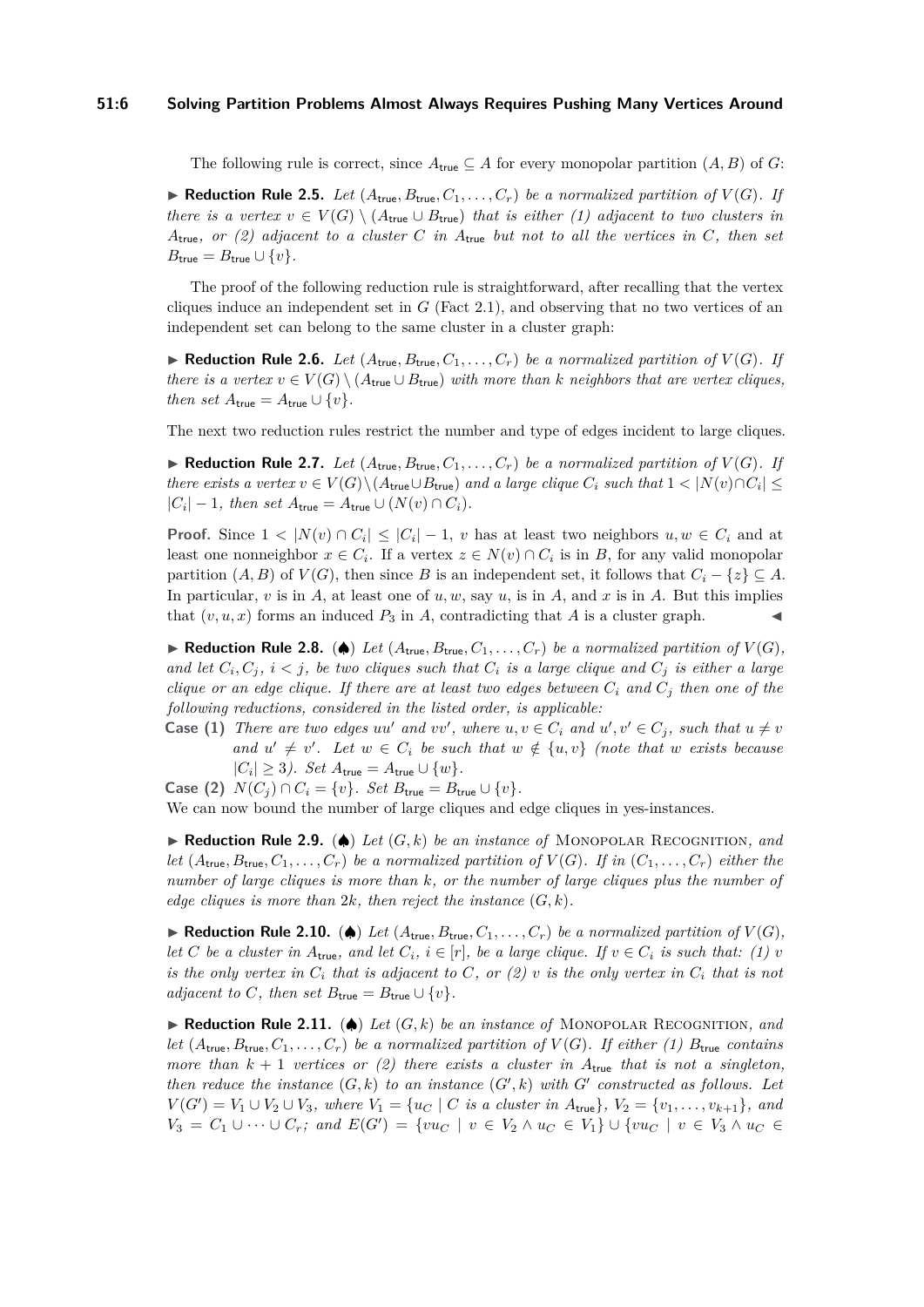The following rule is correct, since  $A_{true} \subseteq A$  for every monopolar partition  $(A, B)$  of *G*:

 $\blacktriangleright$  **Reduction Rule 2.5.** *Let*  $(A_{true}, B_{true}, C_1, \ldots, C_r)$  *be a normalized partition of*  $V(G)$ *. If there is a vertex*  $v \in V(G) \setminus (A_{true} \cup B_{true})$  *that is either* (1) adjacent to two clusters in *A*true*, or (2) adjacent to a cluster C in A*true *but not to all the vertices in C, then set*  $B_{\text{true}} = B_{\text{true}} \cup \{v\}.$ 

The proof of the following reduction rule is straightforward, after recalling that the vertex cliques induce an independent set in *G* (Fact [2.1\)](#page-4-0), and observing that no two vertices of an independent set can belong to the same cluster in a cluster graph:

<span id="page-5-1"></span> $\blacktriangleright$  **Reduction Rule 2.6.** *Let*  $(A_{true}, B_{true}, C_1, \ldots, C_r)$  *be a normalized partition of*  $V(G)$ *. If there is a vertex*  $v \in V(G) \setminus (A_{true} \cup B_{true})$  *with more than k neighbors that are vertex cliques, then set*  $A_{\text{true}} = A_{\text{true}} \cup \{v\}.$ 

The next two reduction rules restrict the number and type of edges incident to large cliques.

<span id="page-5-2"></span> $\blacktriangleright$  **Reduction Rule 2.7.** Let  $(A_{true}, B_{true}, C_1, \ldots, C_r)$  be a normalized partition of  $V(G)$ . If *there exists a vertex*  $v \in V(G) \setminus (A_{\text{true}} \cup B_{\text{true}})$  *and a large clique*  $C_i$  *such that*  $1 < |N(v) \cap C_i| \le$  $|C_i| - 1$ *, then set*  $A_{\text{true}} = A_{\text{true}} \cup (N(v) \cap C_i)$ *.* 

**Proof.** Since  $1 < |N(v) \cap C_i| \leq |C_i| - 1$ , *v* has at least two neighbors  $u, w \in C_i$  and at least one nonneighbor  $x \in C_i$ . If a vertex  $z \in N(v) \cap C_i$  is in *B*, for any valid monopolar partition  $(A, B)$  of  $V(G)$ , then since *B* is an independent set, it follows that  $C_i - \{z\} \subseteq A$ . In particular, *v* is in *A*, at least one of *u, w*, say *u*, is in *A*, and *x* is in *A*. But this implies that  $(v, u, x)$  forms an induced  $P_3$  in A, contradicting that A is a cluster graph.

<span id="page-5-4"></span>▶ **Reduction Rule 2.8.** (♦) Let  $(A_{true}, B_{true}, C_1, \ldots, C_r)$  be a normalized partition of  $V(G)$ , *and let*  $C_i$ ,  $C_j$ ,  $i < j$ , be two cliques such that  $C_i$  is a large clique and  $C_j$  is either a large *clique or an edge clique. If there are at least two edges between*  $C_i$  and  $C_j$  then one of the *following reductions, considered in the listed order, is applicable:*

**Case (1)** There are two edges  $uu'$  and  $vv'$ , where  $u, v \in C_i$  and  $u', v' \in C_j$ , such that  $u \neq v$ *and*  $u' \neq v'$ . Let  $w \in C_i$  be such that  $w \notin \{u, v\}$  (note that w exists because  $|C_i|$  ≥ 3). Set  $A$ <sub>true</sub> =  $A$ <sub>true</sub> ∪  $\{w\}$ *.* 

**Case (2)**  $N(C_i) \cap C_i = \{v\}$ . Set  $B_{true} = B_{true} \cup \{v\}$ .

We can now bound the number of large cliques and edge cliques in yes-instances.

<span id="page-5-3"></span>I **Reduction Rule 2.9.** (♠) *Let* (*G, k*) *be an instance of* Monopolar Recognition*, and let*  $(A_{true}, B_{true}, C_1, \ldots, C_r)$  *be a normalized partition of*  $V(G)$ *. If in*  $(C_1, \ldots, C_r)$  *either the number of large cliques is more than k, or the number of large cliques plus the number of edge cliques is more than*  $2k$ *, then reject the instance*  $(G, k)$ *.* 

▶ **Reduction Rule 2.10.** (♦) Let  $(A_{true}, B_{true}, C_1, \ldots, C_r)$  be a normalized partition of  $V(G)$ , *let C be a cluster in*  $A_{true}$ *, and let*  $C_i$ *,*  $i \in [r]$ *, be a large clique. If*  $v \in C_i$  *is such that: (1) v is the only vertex in*  $C_i$  *that is adjacent to*  $C$ *, or*  $(2)$   $\nu$  *is the only vertex in*  $C_i$  *that is not adjacent to C, then set*  $B_{true} = B_{true} \cup \{v\}$ *.* 

<span id="page-5-0"></span>**► Reduction Rule 2.11.** (◆) *Let*  $(G, k)$  *be an instance of* MONOPOLAR RECOGNITION, and let  $(A_{true}, B_{true}, C_1, \ldots, C_r)$  *be a normalized partition of*  $V(G)$ *. If either (1)*  $B_{true}$  *contains more than*  $k + 1$  *vertices or (2) there exists a cluster in*  $A_{true}$  *that is not a singleton, then reduce the instance*  $(G, k)$  *to an instance*  $(G', k)$  *with*  $G'$  *constructed as follows. Let*  $V(G') = V_1 \cup V_2 \cup V_3$ *, where*  $V_1 = \{u_C \mid C \text{ is a cluster in } A_{\text{true}}\}, V_2 = \{v_1, \ldots, v_{k+1}\},$  and *V*<sub>3</sub> = *C*<sub>1</sub> ∪ · · · ∪ *C<sub>r</sub>*; and  $E(G') = \{vu_C \mid v \in V_2 \land u_C \in V_1\}$  ∪  $\{vu_C \mid v \in V_3 \land u_C \in V_1\}$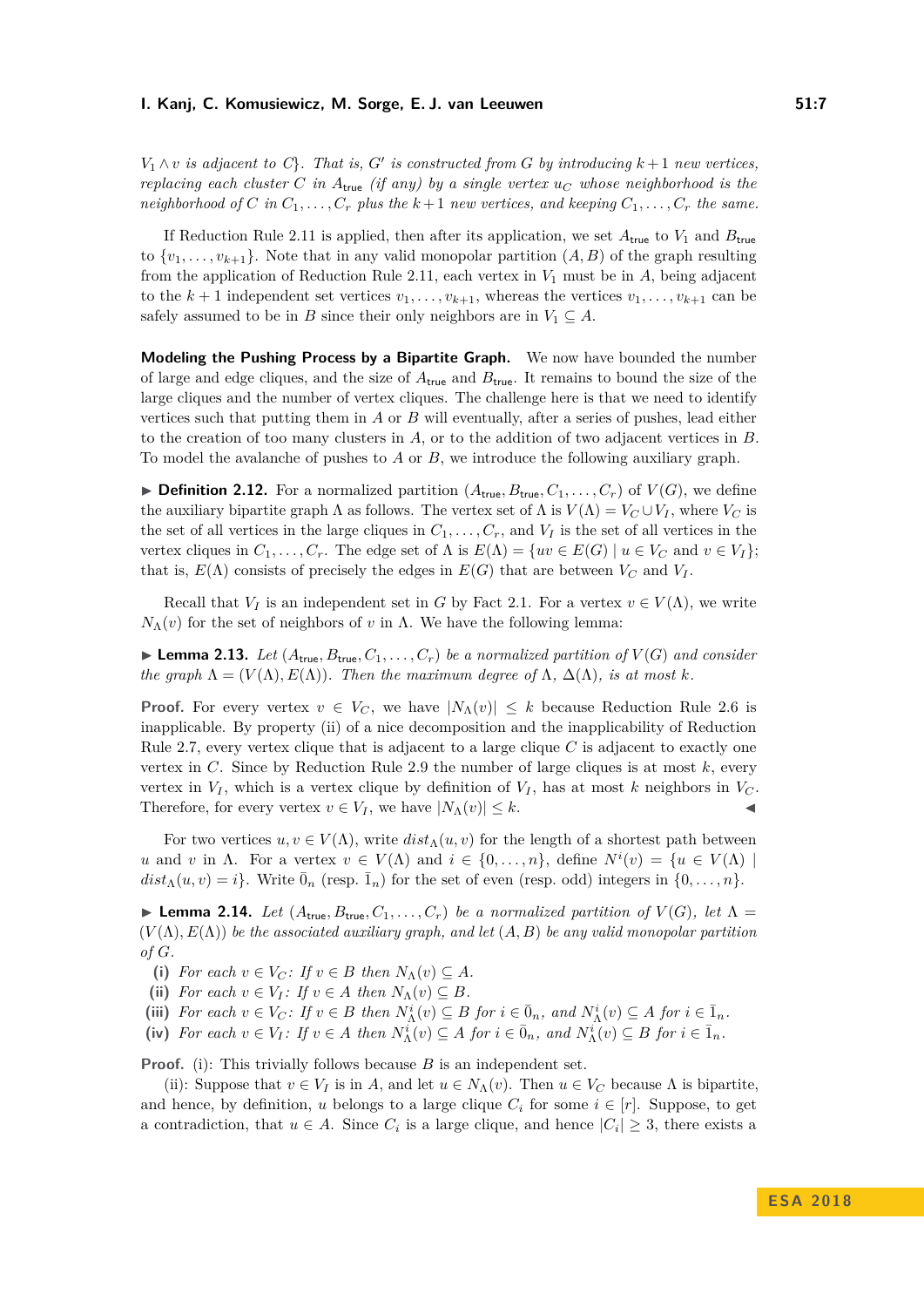$V_1 \wedge v$  *is adjacent to C*}. That *is, G*<sup>*i*</sup> *is constructed from G by introducing*  $k+1$  *new vertices, replacing each cluster C in*  $A_{true}$  *(if any) by a single vertex*  $u_C$  *whose neighborhood is the neighborhood of*  $C$  *in*  $C_1, \ldots, C_r$  *plus the*  $k+1$  *new vertices, and keeping*  $C_1, \ldots, C_r$  *the same.* 

If Reduction Rule [2.11](#page-5-0) is applied, then after its application, we set  $A_{true}$  to  $V_1$  and  $B_{true}$ to  $\{v_1, \ldots, v_{k+1}\}.$  Note that in any valid monopolar partition  $(A, B)$  of the graph resulting from the application of Reduction Rule [2.11,](#page-5-0) each vertex in  $V_1$  must be in  $A$ , being adjacent to the  $k+1$  independent set vertices  $v_1, \ldots, v_{k+1}$ , whereas the vertices  $v_1, \ldots, v_{k+1}$  can be safely assumed to be in *B* since their only neighbors are in  $V_1 \subseteq A$ .

**Modeling the Pushing Process by a Bipartite Graph.** We now have bounded the number of large and edge cliques, and the size of *A*true and *B*true. It remains to bound the size of the large cliques and the number of vertex cliques. The challenge here is that we need to identify vertices such that putting them in *A* or *B* will eventually, after a series of pushes, lead either to the creation of too many clusters in *A*, or to the addition of two adjacent vertices in *B*. To model the avalanche of pushes to *A* or *B*, we introduce the following auxiliary graph.

 $\blacktriangleright$  **Definition 2.12.** For a normalized partition  $(A_{true}, B_{true}, C_1, \ldots, C_r)$  of  $V(G)$ , we define the auxiliary bipartite graph  $\Lambda$  as follows. The vertex set of  $\Lambda$  is  $V(\Lambda) = V_C \cup V_I$ , where  $V_C$  is the set of all vertices in the large cliques in  $C_1, \ldots, C_r$ , and  $V_I$  is the set of all vertices in the vertex cliques in  $C_1, \ldots, C_r$ . The edge set of  $\Lambda$  is  $E(\Lambda) = \{uv \in E(G) \mid u \in V_C \text{ and } v \in V_I\};$ that is,  $E(\Lambda)$  consists of precisely the edges in  $E(G)$  that are between  $V_C$  and  $V_I$ .

Recall that  $V_I$  is an independent set in *G* by Fact [2.1.](#page-4-0) For a vertex  $v \in V(\Lambda)$ , we write *N*<sub>Λ</sub>(*v*) for the set of neighbors of *v* in Λ. We have the following lemma:

<span id="page-6-1"></span> $\blacktriangleright$  **Lemma 2.13.** Let  $(A_{true}, B_{true}, C_1, \ldots, C_r)$  be a normalized partition of  $V(G)$  and consider *the graph*  $\Lambda = (V(\Lambda), E(\Lambda))$ *. Then the maximum degree of*  $\Lambda$ *,*  $\Delta(\Lambda)$ *, is at most k.* 

**Proof.** For every vertex  $v \in V_C$ , we have  $|N_\Lambda(v)| \leq k$  because Reduction Rule [2.6](#page-5-1) is inapplicable. By property (ii) of a nice decomposition and the inapplicability of Reduction Rule [2.7,](#page-5-2) every vertex clique that is adjacent to a large clique *C* is adjacent to exactly one vertex in *C*. Since by Reduction Rule [2.9](#page-5-3) the number of large cliques is at most *k*, every vertex in  $V_I$ , which is a vertex clique by definition of  $V_I$ , has at most  $k$  neighbors in  $V_C$ . Therefore, for every vertex  $v \in V_I$ , we have  $|N_\Lambda(v)| \leq k$ .

For two vertices  $u, v \in V(\Lambda)$ , write  $dist_\Lambda(u, v)$  for the length of a shortest path between *u* and *v* in Λ. For a vertex  $v \in V(\Lambda)$  and  $i \in \{0, ..., n\}$ , define  $N^i(v) = \{u \in V(\Lambda) \mid$  $dist_\Lambda(u, v) = i$ . Write  $\bar{0}_n$  (resp.  $\bar{1}_n$ ) for the set of even (resp. odd) integers in  $\{0, \ldots, n\}$ .

<span id="page-6-0"></span>**Lemma 2.14.** *Let*  $(A_{true}, B_{true}, C_1, \ldots, C_r)$  *be a normalized partition of*  $V(G)$ *, let*  $\Lambda$  =  $(V(\Lambda), E(\Lambda))$  *be the associated auxiliary graph, and let*  $(A, B)$  *be any valid monopolar partition of G.*

(i) *For each*  $v \in V_C$ *: If*  $v \in B$  *then*  $N_\Lambda(v) \subseteq A$ *.* 

(ii) *For each*  $v \in V_I$ *: If*  $v \in A$  *then*  $N_\Lambda(v) \subseteq B$ *.* 

(iii) For each  $v \in V_C$ : If  $v \in B$  then  $N^i_\Lambda(v) \subseteq B$  for  $i \in \overline{0}_n$ , and  $N^i_\Lambda(v) \subseteq A$  for  $i \in \overline{1}_n$ .

(iv) For each  $v \in V_I$ : If  $v \in A$  then  $N^i_\Lambda(v) \subseteq A$  for  $i \in \overline{0}_n$ , and  $N^i_\Lambda(v) \subseteq B$  for  $i \in \overline{1}_n$ .

**Proof.** (i): This trivially follows because *B* is an independent set.

(ii): Suppose that  $v \in V_I$  is in A, and let  $u \in N_\Lambda(v)$ . Then  $u \in V_C$  because  $\Lambda$  is bipartite, and hence, by definition, *u* belongs to a large clique  $C_i$  for some  $i \in [r]$ . Suppose, to get a contradiction, that  $u \in A$ . Since  $C_i$  is a large clique, and hence  $|C_i| \geq 3$ , there exists a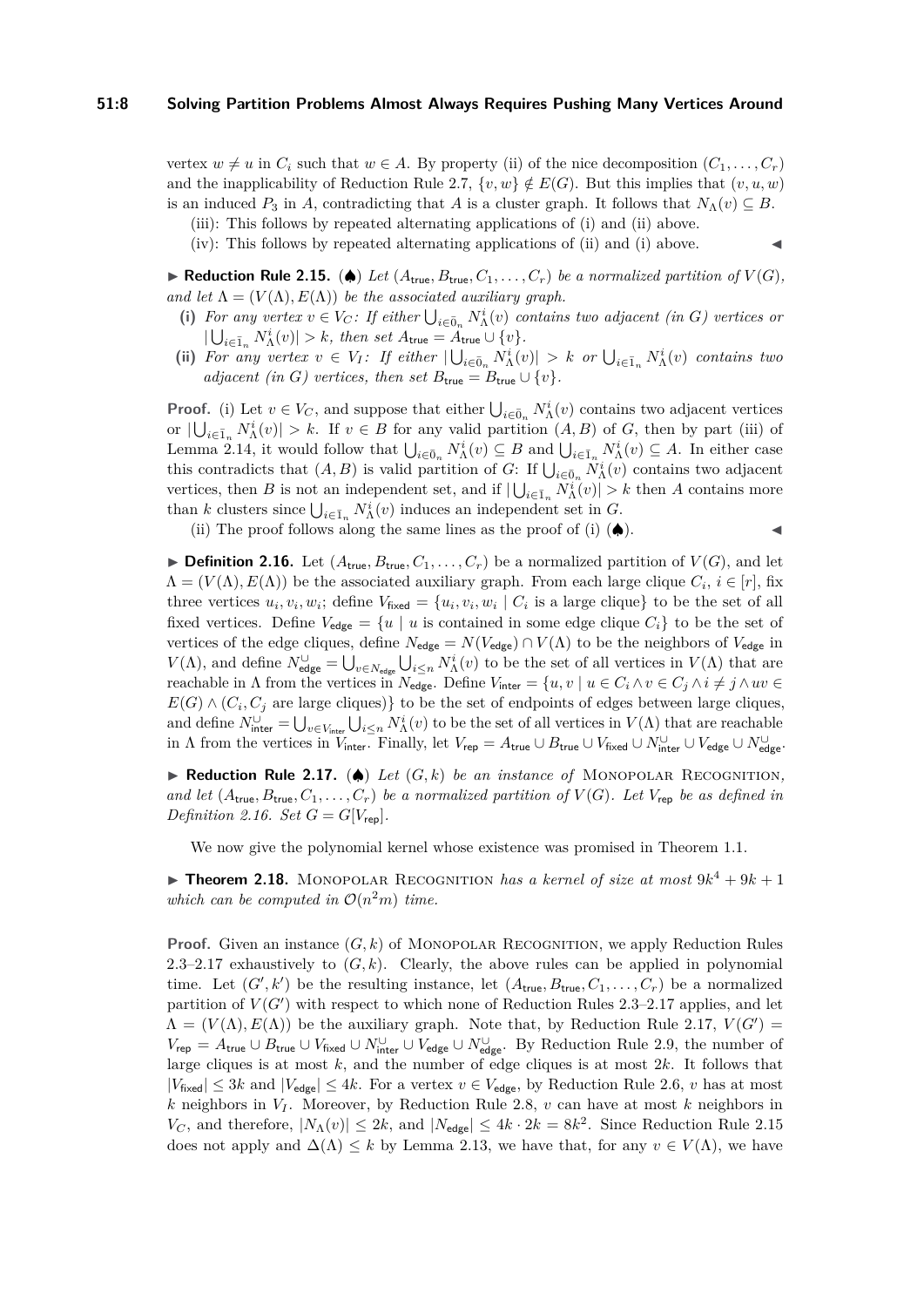vertex  $w \neq u$  in  $C_i$  such that  $w \in A$ . By property (ii) of the nice decomposition  $(C_1, \ldots, C_r)$ and the inapplicability of Reduction Rule [2.7,](#page-5-2)  $\{v, w\} \notin E(G)$ . But this implies that  $(v, u, w)$ is an induced  $P_3$  in *A*, contradicting that *A* is a cluster graph. It follows that  $N_\Lambda(v) \subseteq B$ .

(iii): This follows by repeated alternating applications of (i) and (ii) above.

(iv): This follows by repeated alternating applications of (ii) and (i) above.

<span id="page-7-2"></span>▶ **Reduction Rule 2.15.** (♦) Let  $(A_{true}, B_{true}, C_1, \ldots, C_r)$  be a normalized partition of  $V(G)$ , *and let*  $\Lambda = (V(\Lambda), E(\Lambda))$  *be the associated auxiliary graph.* 

- (i) For any vertex  $v \in V_C$ : If either  $\bigcup_{i \in \bar{0}_n} N^i_{\Lambda}(v)$  contains two adjacent (in *G*) vertices or  $|\bigcup_{i \in \bar{1}_n} N_{\Lambda}^i(v)| > k$ , then set  $A_{\text{true}} = A_{\text{true}} \cup \{v\}.$
- (ii) For any vertex  $v \in V_I$ : If either  $|\bigcup_{i \in \bar{0}_n} N^i_\Lambda(v)| > k$  or  $\bigcup_{i \in \bar{1}_n} N^i_\Lambda(v)$  contains two *adjacent (in G) vertices, then set*  $B_{\text{true}} = B_{\text{true}} \cup \{v\}.$

**Proof.** (i) Let  $v \in V_C$ , and suppose that either  $\bigcup_{i \in \bar{0}_n} N^i_{\Lambda}(v)$  contains two adjacent vertices or  $|\bigcup_{i\in\bar{I}_n} N^i_{\Lambda}(v)| > k$ . If  $v \in B$  for any valid partition  $(A, B)$  of *G*, then by part (iii) of Lemma [2.14,](#page-6-0) it would follow that  $\bigcup_{i \in \bar{0}_n} N^i_{\Lambda}(v) \subseteq B$  and  $\bigcup_{i \in \bar{1}_n} N^i_{\Lambda}(v) \subseteq A$ . In either case this contradicts that  $(A, B)$  is valid partition of *G*: If  $\bigcup_{i \in \bar{0}_n} N^i_{\Lambda}(v)$  contains two adjacent vertices, then *B* is not an independent set, and if  $|\bigcup_{i\in\bar{1}_n} N^i(\overline{v})| > k$  then *A* contains more than *k* clusters since  $\bigcup_{i \in \bar{1}_n} N^i_{\Lambda}(v)$  induces an independent set in *G*.

(ii) The proof follows along the same lines as the proof of  $(i)$  ( $\spadesuit$ ).

<span id="page-7-0"></span>**Definition 2.16.** Let  $(A_{true}, B_{true}, C_1, \ldots, C_r)$  be a normalized partition of  $V(G)$ , and let  $\Lambda = (V(\Lambda), E(\Lambda))$  be the associated auxiliary graph. From each large clique  $C_i$ ,  $i \in [r]$ , fix three vertices  $u_i, v_i, w_i$ ; define  $V_{\text{fixed}} = \{u_i, v_i, w_i \mid C_i \text{ is a large clique}\}$  to be the set of all fixed vertices. Define  $V_{\text{edge}} = \{u \mid u \text{ is contained in some edge clique } C_i\}$  to be the set of vertices of the edge cliques, define  $N_{\text{edge}} = N(V_{\text{edge}}) \cap V(\Lambda)$  to be the neighbors of  $V_{\text{edge}}$  in  $V(\Lambda)$ , and define  $N^{\cup}_{\text{edge}} = \bigcup_{v \in N_{\text{edge}}} \bigcup_{i \leq n} N^i_{\Lambda}(v)$  to be the set of all vertices in  $V(\Lambda)$  that are reachable in  $\Lambda$  from the vertices in  $N_{\text{edge}}$ . Define  $V_{\text{inter}} = \{u, v \mid u \in C_i \land v \in C_j \land i \neq j \land uv \in C_j\}$  $E(G) \wedge (C_i, C_j)$  are large cliques)} to be the set of endpoints of edges between large cliques, and define  $N_{\text{inter}}^{\cup} = \bigcup_{v \in V_{\text{inter}}} \bigcup_{i \leq n} N_{\Lambda}^{i}(v)$  to be the set of all vertices in  $V(\Lambda)$  that are reachable in  $\Lambda$  from the vertices in  $\overline{V_{\text{inter}}}.$  Finally, let  $V_{\text{rep}} = A_{\text{true}} \cup B_{\text{true}} \cup V_{\text{fixed}} \cup N_{\text{inter}}^{\cup} \cup V_{\text{edge}} \cup N_{\text{edge}}^{\cup}$ 

<span id="page-7-1"></span>**► Reduction Rule 2.17.** (◆) *Let*  $(G, k)$  *be an instance of* MONOPOLAR RECOGNITION, *and let*  $(A_{true}, B_{true}, C_1, \ldots, C_r)$  *be a normalized partition of*  $V(G)$ *. Let*  $V_{rep}$  *be as defined in Definition* [2.16.](#page-7-0) *Set*  $G = G[V_{\text{rep}}]$ *.* 

We now give the polynomial kernel whose existence was promised in Theorem [1.1.](#page-2-0)

<span id="page-7-3"></span>**Theorem 2.18.** MONOPOLAR RECOGNITION *has a kernel of size at most*  $9k^4 + 9k + 1$ *which can be computed in*  $O(n^2m)$  *time.* 

**Proof.** Given an instance  $(G, k)$  of MONOPOLAR RECOGNITION, we apply Reduction Rules [2.3–](#page-4-1)[2.17](#page-7-1) exhaustively to  $(G, k)$ . Clearly, the above rules can be applied in polynomial time. Let  $(G', k')$  be the resulting instance, let  $(A_{true}, B_{true}, C_1, \ldots, C_r)$  be a normalized partition of  $V(G')$  with respect to which none of Reduction Rules [2.3–](#page-4-1)[2.17](#page-7-1) applies, and let  $\Lambda = (V(\Lambda), E(\Lambda))$  be the auxiliary graph. Note that, by Reduction Rule [2.17,](#page-7-1)  $V(G') =$  $V_{\text{rep}} = A_{\text{true}} \cup B_{\text{true}} \cup V_{\text{fixed}} \cup N_{\text{inter}}^{\cup} \cup V_{\text{edge}} \cup N_{\text{edge}}^{\cup}$ . By Reduction Rule [2.9,](#page-5-3) the number of large cliques is at most *k*, and the number of edge cliques is at most 2*k*. It follows that  $|V_{\text{fixed}}| \leq 3k$  and  $|V_{\text{edge}}| \leq 4k$ . For a vertex  $v \in V_{\text{edge}}$ , by Reduction Rule [2.6,](#page-5-1) *v* has at most *k* neighbors in *V<sup>I</sup>* . Moreover, by Reduction Rule [2.8,](#page-5-4) *v* can have at most *k* neighbors in *V<sub>C</sub>*, and therefore,  $|N_\Lambda(v)| \leq 2k$ , and  $|N_{\text{edge}}| \leq 4k \cdot 2k = 8k^2$ . Since Reduction Rule [2.15](#page-7-2) does not apply and  $\Delta(\Lambda) \leq k$  by Lemma [2.13,](#page-6-1) we have that, for any  $v \in V(\Lambda)$ , we have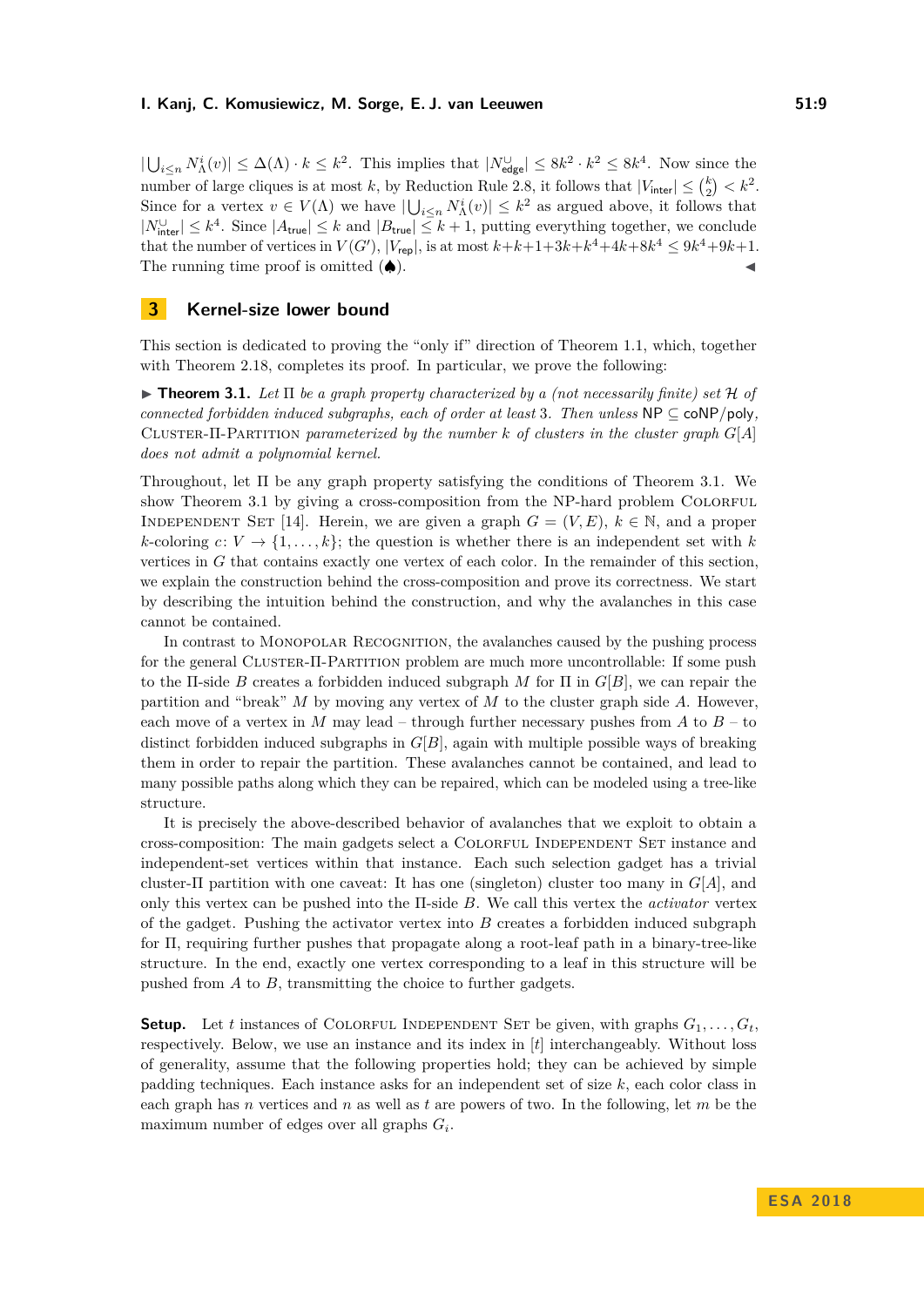$|\bigcup_{i\leq n} N^i_{\Lambda}(v)| \leq \Delta(\Lambda) \cdot k \leq k^2$ . This implies that  $|N^{\cup}_{\text{edge}}| \leq 8k^2 \cdot k^2 \leq 8k^4$ . Now since the number of large cliques is at most *k*, by Reduction Rule [2.8,](#page-5-4) it follows that  $|V_{\text{inter}}| \leq {k \choose 2} < k^2$ . Since for a vertex  $v \in V(\Lambda)$  we have  $|\bigcup_{i \leq n} N^i_{\Lambda}(v)| \leq k^2$  as argued above, it follows that  $|N_{\text{inter}}^{\cup}| \leq k^4$ . Since  $|A_{\text{true}}| \leq k$  and  $|B_{\text{true}}| \leq k+1$ , putting everything together, we conclude that the number of vertices in  $V(G')$ ,  $|V_{\text{rep}}|$ , is at most  $k+k+1+3k+k^4+4k+8k^4 \leq 9k^4+9k+1$ . The running time proof is omitted  $(\spadesuit)$ .

### **3 Kernel-size lower bound**

This section is dedicated to proving the "only if" direction of Theorem [1.1,](#page-2-0) which, together with Theorem [2.18,](#page-7-3) completes its proof. In particular, we prove the following:

<span id="page-8-0"></span> $\triangleright$  **Theorem 3.1.** Let  $\Pi$  be a graph property characterized by a (not necessarily finite) set H of *connected forbidden induced subgraphs, each of order at least 3. Then unless*  $NP \subseteq \text{coNP/poly}$ , Cluster-Π-Partition *parameterized by the number k of clusters in the cluster graph G*[*A*] *does not admit a polynomial kernel.*

Throughout, let Π be any graph property satisfying the conditions of Theorem [3.1.](#page-8-0) We show Theorem [3.1](#page-8-0) by giving a cross-composition from the NP-hard problem COLORFUL INDEPENDENT SET [\[14\]](#page-12-17). Herein, we are given a graph  $G = (V, E)$ ,  $k \in \mathbb{N}$ , and a proper  $k$ -coloring  $c: V \to \{1, \ldots, k\}$ ; the question is whether there is an independent set with  $k$ vertices in *G* that contains exactly one vertex of each color. In the remainder of this section, we explain the construction behind the cross-composition and prove its correctness. We start by describing the intuition behind the construction, and why the avalanches in this case cannot be contained.

In contrast to Monopolar Recognition, the avalanches caused by the pushing process for the general Cluster-Π-Partition problem are much more uncontrollable: If some push to the Π-side *B* creates a forbidden induced subgraph *M* for Π in *G*[*B*], we can repair the partition and "break" *M* by moving any vertex of *M* to the cluster graph side *A*. However, each move of a vertex in  $M$  may lead – through further necessary pushes from  $A$  to  $B$  – to distinct forbidden induced subgraphs in  $G[B]$ , again with multiple possible ways of breaking them in order to repair the partition. These avalanches cannot be contained, and lead to many possible paths along which they can be repaired, which can be modeled using a tree-like structure.

It is precisely the above-described behavior of avalanches that we exploit to obtain a cross-composition: The main gadgets select a Colorful Independent Set instance and independent-set vertices within that instance. Each such selection gadget has a trivial cluster-Π partition with one caveat: It has one (singleton) cluster too many in *G*[*A*], and only this vertex can be pushed into the Π-side *B*. We call this vertex the *activator* vertex of the gadget. Pushing the activator vertex into *B* creates a forbidden induced subgraph for Π, requiring further pushes that propagate along a root-leaf path in a binary-tree-like structure. In the end, exactly one vertex corresponding to a leaf in this structure will be pushed from *A* to *B*, transmitting the choice to further gadgets.

**Setup.** Let *t* instances of COLORFUL INDEPENDENT SET be given, with graphs  $G_1, \ldots, G_t$ respectively. Below, we use an instance and its index in [*t*] interchangeably. Without loss of generality, assume that the following properties hold; they can be achieved by simple padding techniques. Each instance asks for an independent set of size *k*, each color class in each graph has *n* vertices and *n* as well as *t* are powers of two. In the following, let *m* be the maximum number of edges over all graphs *G<sup>i</sup>* .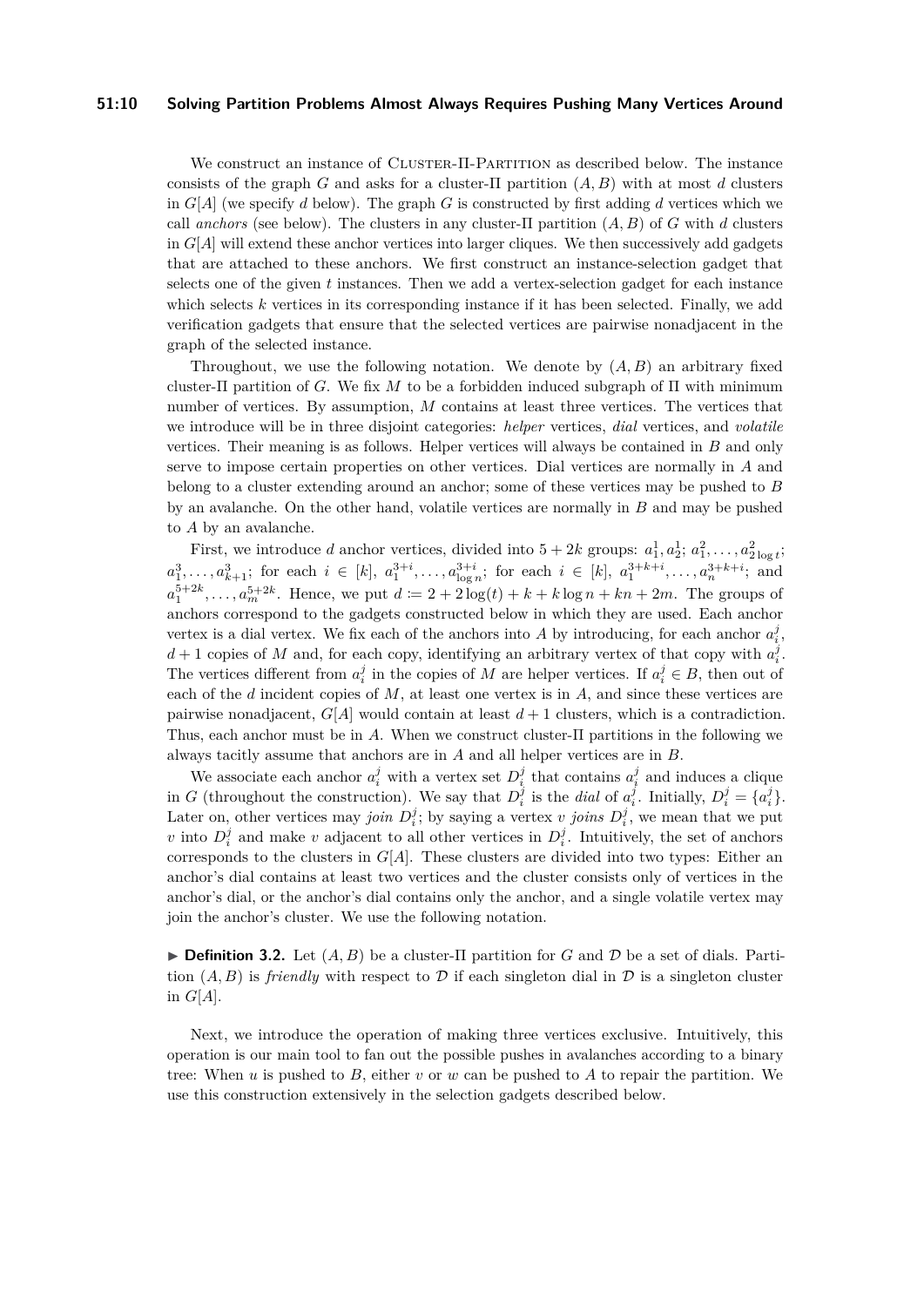#### **51:10 Solving Partition Problems Almost Always Requires Pushing Many Vertices Around**

We construct an instance of CLUSTER-Π-PARTITION as described below. The instance consists of the graph *G* and asks for a cluster-Π partition (*A, B*) with at most *d* clusters in  $G[A]$  (we specify *d* below). The graph *G* is constructed by first adding *d* vertices which we call *anchors* (see below). The clusters in any cluster- $\Pi$  partition  $(A, B)$  of  $G$  with  $d$  clusters in  $G[A]$  will extend these anchor vertices into larger cliques. We then successively add gadgets that are attached to these anchors. We first construct an instance-selection gadget that selects one of the given *t* instances. Then we add a vertex-selection gadget for each instance which selects *k* vertices in its corresponding instance if it has been selected. Finally, we add verification gadgets that ensure that the selected vertices are pairwise nonadjacent in the graph of the selected instance.

Throughout, we use the following notation. We denote by  $(A, B)$  an arbitrary fixed cluster-Π partition of *G*. We fix *M* to be a forbidden induced subgraph of Π with minimum number of vertices. By assumption, *M* contains at least three vertices. The vertices that we introduce will be in three disjoint categories: *helper* vertices, *dial* vertices, and *volatile* vertices. Their meaning is as follows. Helper vertices will always be contained in *B* and only serve to impose certain properties on other vertices. Dial vertices are normally in *A* and belong to a cluster extending around an anchor; some of these vertices may be pushed to *B* by an avalanche. On the other hand, volatile vertices are normally in *B* and may be pushed to *A* by an avalanche.

First, we introduce *d* anchor vertices, divided into  $5 + 2k$  groups:  $a_1^1, a_2^1; a_1^2, \ldots, a_{2 \log t}^2$ ;  $a_1^3, \ldots, a_{k+1}^3$ ; for each  $i \in [k]$ ,  $a_1^{3+i}, \ldots, a_{\log n}^{3+i}$ ; for each  $i \in [k]$ ,  $a_1^{3+k+i}, \ldots, a_n^{3+k+i}$ ; and  $a_1^{5+2k}, \ldots, a_m^{5+2k}$ . Hence, we put  $d := 2 + 2 \log(t) + k + k \log n + kn + 2m$ . The groups of anchors correspond to the gadgets constructed below in which they are used. Each anchor vertex is a dial vertex. We fix each of the anchors into A by introducing, for each anchor  $a_i^j$ ,  $d+1$  copies of *M* and, for each copy, identifying an arbitrary vertex of that copy with  $a_i^j$ . The vertices different from  $a_i^j$  in the copies of *M* are helper vertices. If  $a_i^j \in B$ , then out of each of the *d* incident copies of *M*, at least one vertex is in *A*, and since these vertices are pairwise nonadjacent,  $G[A]$  would contain at least  $d+1$  clusters, which is a contradiction. Thus, each anchor must be in *A*. When we construct cluster-Π partitions in the following we always tacitly assume that anchors are in *A* and all helper vertices are in *B*.

We associate each anchor  $a_i^j$  with a vertex set  $D_i^j$  that contains  $a_i^j$  and induces a clique in *G* (throughout the construction). We say that  $D_i^j$  is the *dial* of  $a_i^j$ . Initially,  $D_i^j = \{a_i^j\}$ . Later on, other vertices may *join*  $D_i^j$ ; by saying a vertex *v joins*  $D_i^j$ , we mean that we put *v* into  $D_i^j$  and make *v* adjacent to all other vertices in  $D_i^j$ . Intuitively, the set of anchors corresponds to the clusters in  $G[A]$ . These clusters are divided into two types: Either an anchor's dial contains at least two vertices and the cluster consists only of vertices in the anchor's dial, or the anchor's dial contains only the anchor, and a single volatile vertex may join the anchor's cluster. We use the following notation.

**Definition 3.2.** Let  $(A, B)$  be a cluster-II partition for *G* and *D* be a set of dials. Partition  $(A, B)$  is *friendly* with respect to D if each singleton dial in D is a singleton cluster in *G*[*A*].

Next, we introduce the operation of making three vertices exclusive. Intuitively, this operation is our main tool to fan out the possible pushes in avalanches according to a binary tree: When *u* is pushed to *B*, either *v* or *w* can be pushed to *A* to repair the partition. We use this construction extensively in the selection gadgets described below.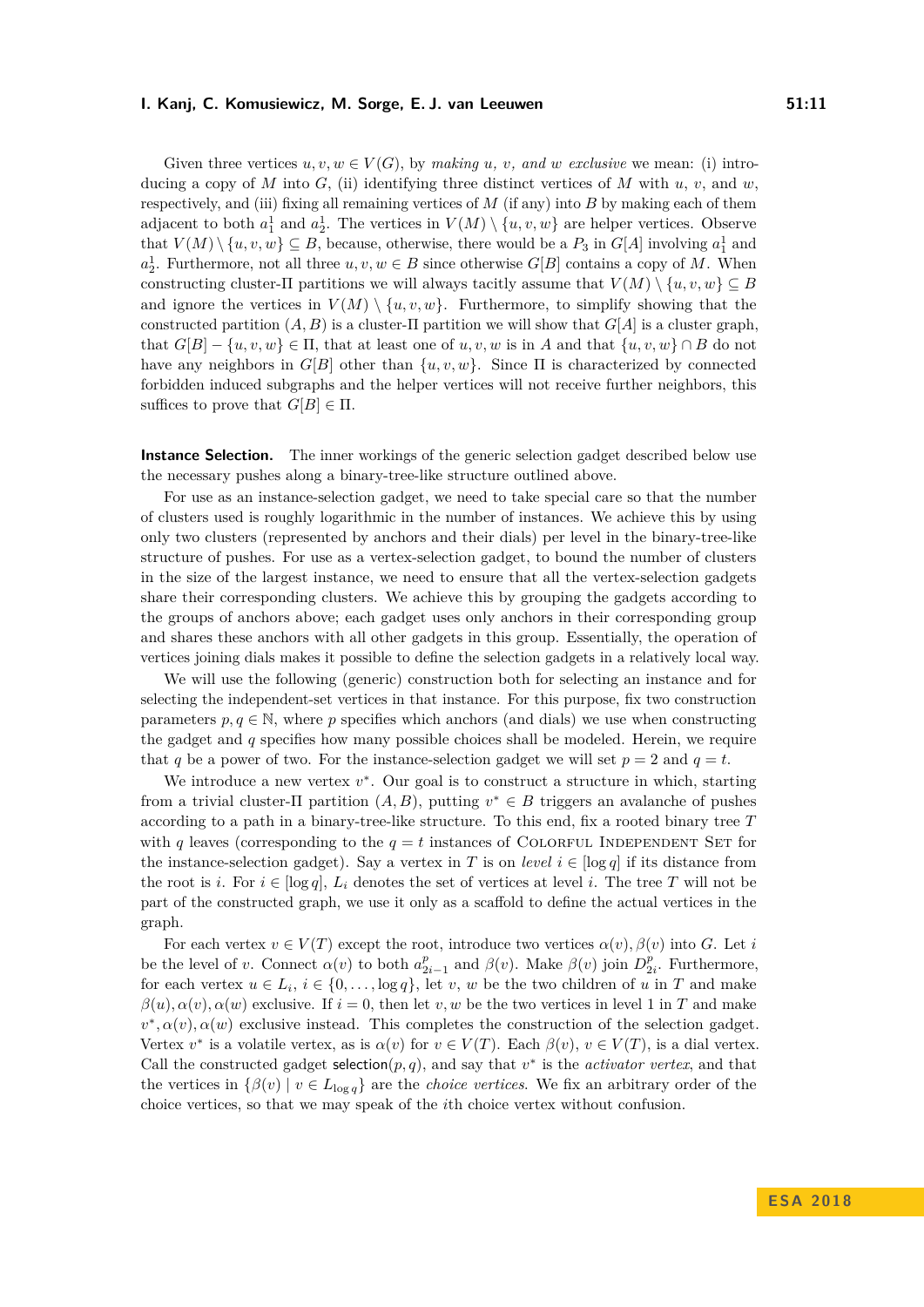Given three vertices  $u, v, w \in V(G)$ , by *making*  $u, v, and w$  *exclusive* we mean: (i) introducing a copy of *M* into *G*, (ii) identifying three distinct vertices of *M* with  $u, v$ , and  $w$ , respectively, and (iii) fixing all remaining vertices of *M* (if any) into *B* by making each of them adjacent to both  $a_1^1$  and  $a_2^1$ . The vertices in  $V(M) \setminus \{u, v, w\}$  are helper vertices. Observe that  $V(M) \setminus \{u, v, w\} \subseteq B$ , because, otherwise, there would be a  $P_3$  in  $G[A]$  involving  $a_1^1$  and  $a_2^1$ . Furthermore, not all three  $u, v, w \in B$  since otherwise  $G[B]$  contains a copy of *M*. When constructing cluster- $\Pi$  partitions we will always tacitly assume that  $V(M) \setminus \{u, v, w\} \subseteq B$ and ignore the vertices in  $V(M) \setminus \{u, v, w\}$ . Furthermore, to simplify showing that the constructed partition  $(A, B)$  is a cluster-II partition we will show that  $G[A]$  is a cluster graph, that  $G[B] - \{u, v, w\} \in \Pi$ , that at least one of  $u, v, w$  is in *A* and that  $\{u, v, w\} \cap B$  do not have any neighbors in  $G[B]$  other than  $\{u, v, w\}$ . Since  $\Pi$  is characterized by connected forbidden induced subgraphs and the helper vertices will not receive further neighbors, this suffices to prove that  $G[B] \in \Pi$ .

**Instance Selection.** The inner workings of the generic selection gadget described below use the necessary pushes along a binary-tree-like structure outlined above.

For use as an instance-selection gadget, we need to take special care so that the number of clusters used is roughly logarithmic in the number of instances. We achieve this by using only two clusters (represented by anchors and their dials) per level in the binary-tree-like structure of pushes. For use as a vertex-selection gadget, to bound the number of clusters in the size of the largest instance, we need to ensure that all the vertex-selection gadgets share their corresponding clusters. We achieve this by grouping the gadgets according to the groups of anchors above; each gadget uses only anchors in their corresponding group and shares these anchors with all other gadgets in this group. Essentially, the operation of vertices joining dials makes it possible to define the selection gadgets in a relatively local way.

We will use the following (generic) construction both for selecting an instance and for selecting the independent-set vertices in that instance. For this purpose, fix two construction parameters  $p, q \in \mathbb{N}$ , where  $p$  specifies which anchors (and dials) we use when constructing the gadget and *q* specifies how many possible choices shall be modeled. Herein, we require that *q* be a power of two. For the instance-selection gadget we will set  $p = 2$  and  $q = t$ .

We introduce a new vertex  $v^*$ . Our goal is to construct a structure in which, starting from a trivial cluster- $\Pi$  partition  $(A, B)$ , putting  $v^* \in B$  triggers an avalanche of pushes according to a path in a binary-tree-like structure. To this end, fix a rooted binary tree *T* with *q* leaves (corresponding to the  $q = t$  instances of COLORFUL INDEPENDENT SET for the instance-selection gadget). Say a vertex in *T* is on *level*  $i \in [\log q]$  if its distance from the root is *i*. For  $i \in [\log q]$ ,  $L_i$  denotes the set of vertices at level *i*. The tree *T* will not be part of the constructed graph, we use it only as a scaffold to define the actual vertices in the graph.

For each vertex  $v \in V(T)$  except the root, introduce two vertices  $\alpha(v), \beta(v)$  into *G*. Let *i* be the level of *v*. Connect  $\alpha(v)$  to both  $a_{2i-1}^p$  and  $\beta(v)$ . Make  $\beta(v)$  join  $D_{2i}^p$ . Furthermore, for each vertex  $u \in L_i$ ,  $i \in \{0, \ldots, \log q\}$ , let *v*, *w* be the two children of *u* in *T* and make  $\beta(u), \alpha(v), \alpha(w)$  exclusive. If  $i = 0$ , then let *v, w* be the two vertices in level 1 in *T* and make  $v^*, \alpha(v), \alpha(w)$  exclusive instead. This completes the construction of the selection gadget. Vertex  $v^*$  is a volatile vertex, as is  $\alpha(v)$  for  $v \in V(T)$ . Each  $\beta(v)$ ,  $v \in V(T)$ , is a dial vertex. Call the constructed gadget selection $(p, q)$ , and say that  $v^*$  is the *activator vertex*, and that the vertices in  $\{\beta(v) \mid v \in L_{\log q}\}$  are the *choice vertices*. We fix an arbitrary order of the choice vertices, so that we may speak of the *i*th choice vertex without confusion.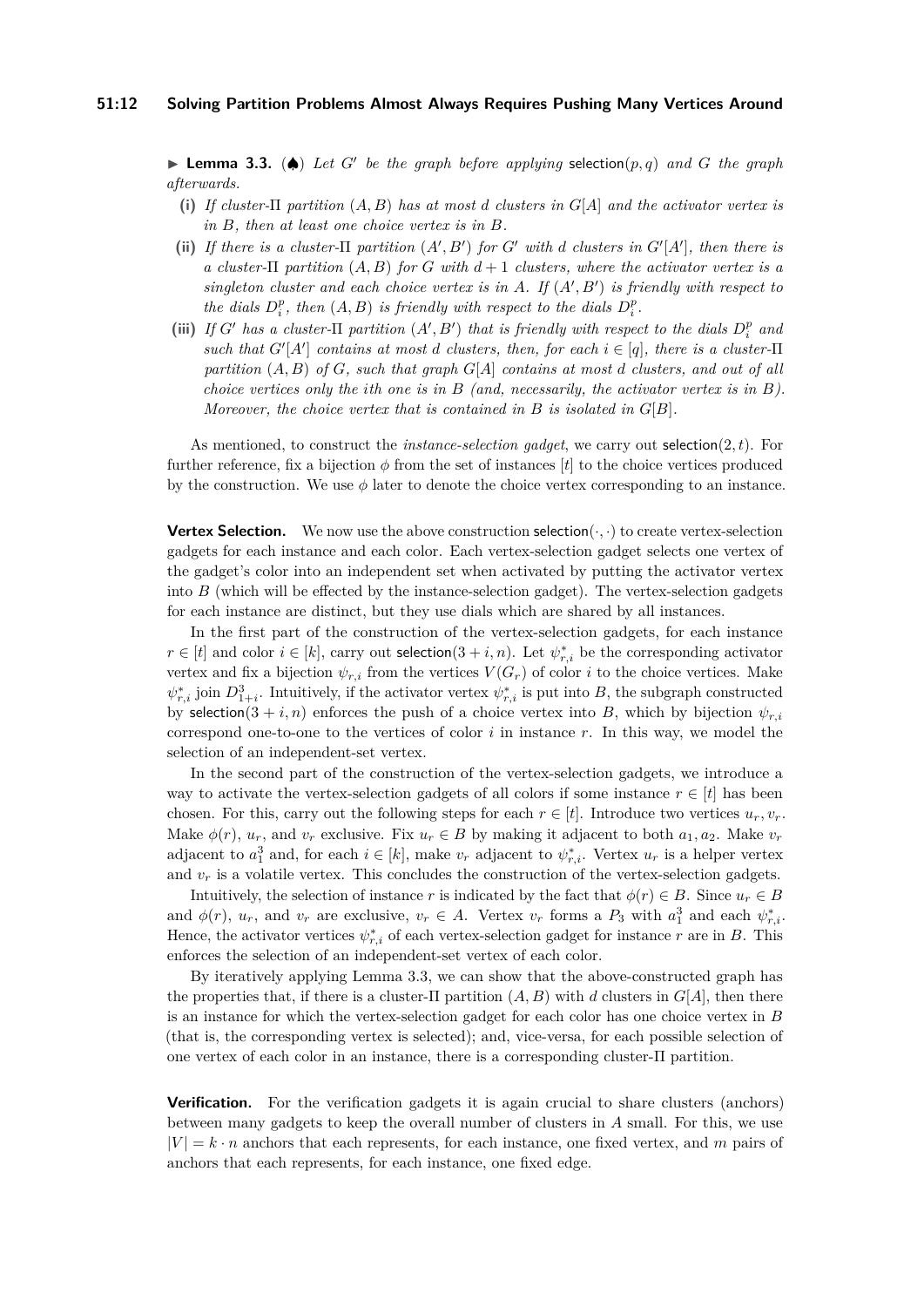<span id="page-11-0"></span> $\blacktriangleright$  **Lemma 3.3.** ( $\blacklozenge$ ) *Let G' be the graph before applying* selection(*p, q*) *and G the graph afterwards.*

- **(i)** *If cluster-*Π *partition* (*A, B*) *has at most d clusters in G*[*A*] *and the activator vertex is in B, then at least one choice vertex is in B.*
- (ii) If there is a cluster- $\Pi$  partition  $(A', B')$  for  $G'$  with  $d$  clusters in  $G'[A']$ , then there is *a cluster-*Π *partition* (*A, B*) *for G with d* + 1 *clusters, where the activator vertex is a*  $singleton$  *cluster and each choice vertex is in*  $A$ *. If*  $(A', B')$  *is friendly with respect to the dials*  $D_i^p$ , *then*  $(A, B)$  *is friendly with respect to the dials*  $D_i^p$ .
- (iii) If *G'* has a cluster- $\Pi$  partition  $(A', B')$  that is friendly with respect to the dials  $D_i^p$  and *such that*  $G'[A']$  *contains at most d clusters, then, for each*  $i \in [q]$ *, there is a cluster-II partition* (*A, B*) *of G, such that graph G*[*A*] *contains at most d clusters, and out of all choice vertices only the ith one is in B (and, necessarily, the activator vertex is in B). Moreover, the choice vertex that is contained in B is isolated in G*[*B*]*.*

As mentioned, to construct the *instance-selection gadget*, we carry out selection(2*, t*). For further reference, fix a bijection  $\phi$  from the set of instances  $[t]$  to the choice vertices produced by the construction. We use *φ* later to denote the choice vertex corresponding to an instance.

**Vertex Selection.** We now use the above construction selection $(\cdot, \cdot)$  to create vertex-selection gadgets for each instance and each color. Each vertex-selection gadget selects one vertex of the gadget's color into an independent set when activated by putting the activator vertex into  $B$  (which will be effected by the instance-selection gadget). The vertex-selection gadgets for each instance are distinct, but they use dials which are shared by all instances.

In the first part of the construction of the vertex-selection gadgets, for each instance  $r \in [t]$  and color  $i \in [k]$ , carry out selection(3 + *i, n*). Let  $\psi_{r,i}^*$  be the corresponding activator vertex and fix a bijection  $\psi_{r,i}$  from the vertices  $V(G_r)$  of color *i* to the choice vertices. Make  $\psi_{r,i}^*$  join  $D_{1+i}^3$ . Intuitively, if the activator vertex  $\psi_{r,i}^*$  is put into *B*, the subgraph constructed by selection(3 + *i, n*) enforces the push of a choice vertex into *B*, which by bijection  $\psi_{r,i}$ correspond one-to-one to the vertices of color *i* in instance *r*. In this way, we model the selection of an independent-set vertex.

In the second part of the construction of the vertex-selection gadgets, we introduce a way to activate the vertex-selection gadgets of all colors if some instance  $r \in [t]$  has been chosen. For this, carry out the following steps for each  $r \in [t]$ . Introduce two vertices  $u_r, v_r$ . Make  $\phi(r)$ ,  $u_r$ , and  $v_r$  exclusive. Fix  $u_r \in B$  by making it adjacent to both  $a_1, a_2$ . Make  $v_r$ adjacent to  $a_1^3$  and, for each  $i \in [k]$ , make  $v_r$  adjacent to  $\psi_{r,i}^*$ . Vertex  $u_r$  is a helper vertex and  $v_r$  is a volatile vertex. This concludes the construction of the vertex-selection gadgets.

Intuitively, the selection of instance *r* is indicated by the fact that  $\phi(r) \in B$ . Since  $u_r \in B$ and  $\phi(r)$ ,  $u_r$ , and  $v_r$  are exclusive,  $v_r \in A$ . Vertex  $v_r$  forms a  $P_3$  with  $a_1^3$  and each  $\psi_{r,i}^*$ . Hence, the activator vertices  $\psi_{r,i}^*$  of each vertex-selection gadget for instance *r* are in *B*. This enforces the selection of an independent-set vertex of each color.

By iteratively applying Lemma [3.3,](#page-11-0) we can show that the above-constructed graph has the properties that, if there is a cluster-Π partition  $(A, B)$  with *d* clusters in  $G[A]$ , then there is an instance for which the vertex-selection gadget for each color has one choice vertex in *B* (that is, the corresponding vertex is selected); and, vice-versa, for each possible selection of one vertex of each color in an instance, there is a corresponding cluster-Π partition.

**Verification.** For the verification gadgets it is again crucial to share clusters (anchors) between many gadgets to keep the overall number of clusters in *A* small. For this, we use  $|V| = k \cdot n$  anchors that each represents, for each instance, one fixed vertex, and m pairs of anchors that each represents, for each instance, one fixed edge.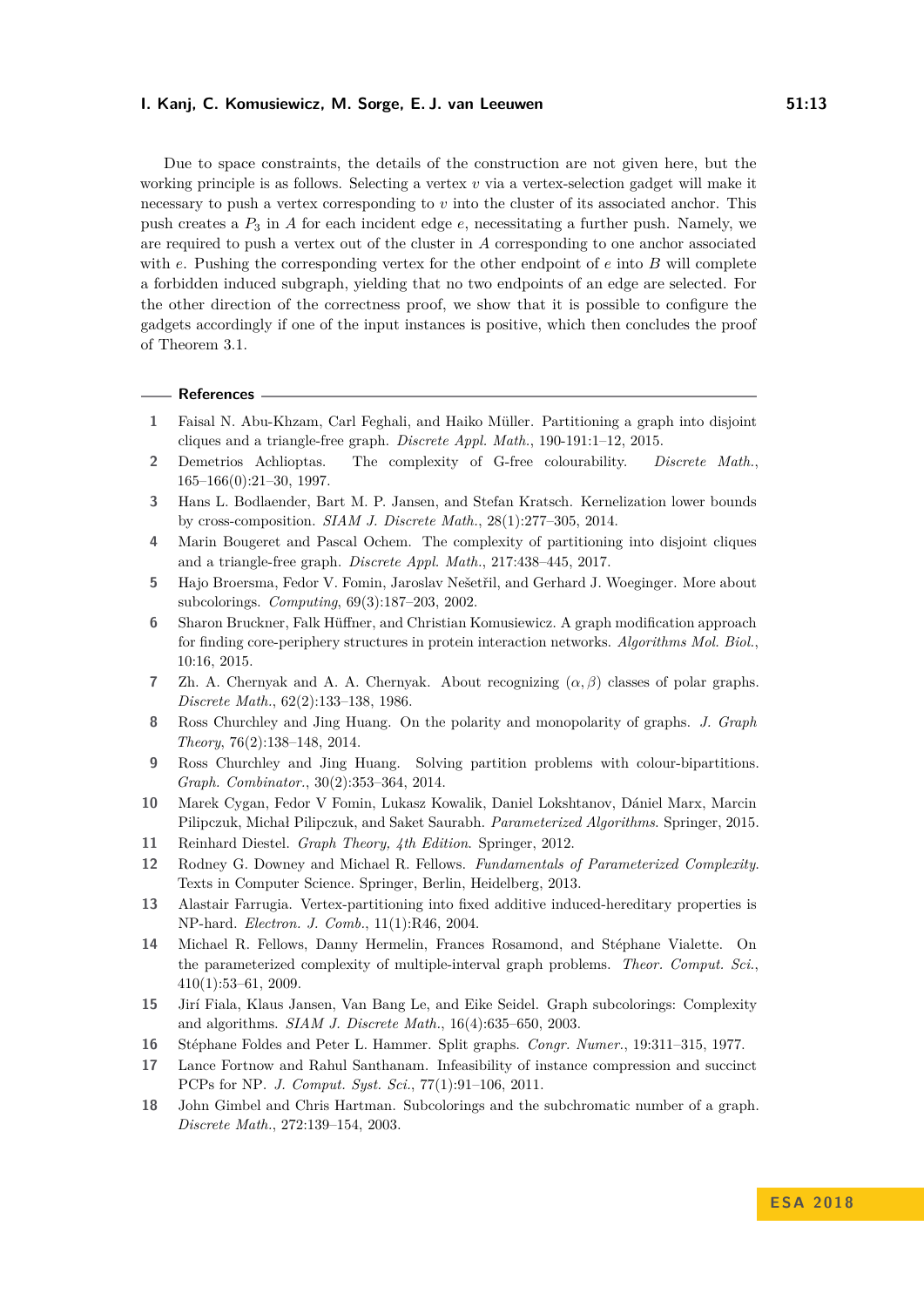Due to space constraints, the details of the construction are not given here, but the working principle is as follows. Selecting a vertex *v* via a vertex-selection gadget will make it necessary to push a vertex corresponding to *v* into the cluster of its associated anchor. This push creates a *P*<sup>3</sup> in *A* for each incident edge *e*, necessitating a further push. Namely, we are required to push a vertex out of the cluster in *A* corresponding to one anchor associated with *e*. Pushing the corresponding vertex for the other endpoint of *e* into *B* will complete a forbidden induced subgraph, yielding that no two endpoints of an edge are selected. For the other direction of the correctness proof, we show that it is possible to configure the gadgets accordingly if one of the input instances is positive, which then concludes the proof of [Theorem 3.1.](#page-8-0)

#### **References**

- <span id="page-12-9"></span>**1** Faisal N. Abu-Khzam, Carl Feghali, and Haiko Müller. Partitioning a graph into disjoint cliques and a triangle-free graph. *Discrete Appl. Math.*, 190-191:1–12, 2015.
- <span id="page-12-0"></span>**2** Demetrios Achlioptas. The complexity of G-free colourability. *Discrete Math.*, 165–166(0):21–30, 1997.
- <span id="page-12-16"></span>**3** Hans L. Bodlaender, Bart M. P. Jansen, and Stefan Kratsch. Kernelization lower bounds by cross-composition. *SIAM J. Discrete Math.*, 28(1):277–305, 2014.
- <span id="page-12-10"></span>**4** Marin Bougeret and Pascal Ochem. The complexity of partitioning into disjoint cliques and a triangle-free graph. *Discrete Appl. Math.*, 217:438–445, 2017.
- <span id="page-12-6"></span>**5** Hajo Broersma, Fedor V. Fomin, Jaroslav Nešetřil, and Gerhard J. Woeginger. More about subcolorings. *Computing*, 69(3):187–203, 2002.
- <span id="page-12-3"></span>**6** Sharon Bruckner, Falk Hüffner, and Christian Komusiewicz. A graph modification approach for finding core-periphery structures in protein interaction networks. *Algorithms Mol. Biol.*, 10:16, 2015.
- <span id="page-12-11"></span>**7** Zh. A. Chernyak and A. A. Chernyak. About recognizing (*α, β*) classes of polar graphs. *Discrete Math.*, 62(2):133–138, 1986.
- <span id="page-12-5"></span>**8** Ross Churchley and Jing Huang. On the polarity and monopolarity of graphs. *J. Graph Theory*, 76(2):138–148, 2014.
- <span id="page-12-4"></span>**9** Ross Churchley and Jing Huang. Solving partition problems with colour-bipartitions. *Graph. Combinator.*, 30(2):353–364, 2014.
- <span id="page-12-14"></span>**10** Marek Cygan, Fedor V Fomin, Lukasz Kowalik, Daniel Lokshtanov, Dániel Marx, Marcin Pilipczuk, Michał Pilipczuk, and Saket Saurabh. *Parameterized Algorithms*. Springer, 2015.
- <span id="page-12-12"></span>**11** Reinhard Diestel. *Graph Theory, 4th Edition*. Springer, 2012.
- <span id="page-12-13"></span>**12** Rodney G. Downey and Michael R. Fellows. *Fundamentals of Parameterized Complexity*. Texts in Computer Science. Springer, Berlin, Heidelberg, 2013.
- <span id="page-12-1"></span>**13** Alastair Farrugia. Vertex-partitioning into fixed additive induced-hereditary properties is NP-hard. *Electron. J. Comb.*, 11(1):R46, 2004.
- <span id="page-12-17"></span>**14** Michael R. Fellows, Danny Hermelin, Frances Rosamond, and Stéphane Vialette. On the parameterized complexity of multiple-interval graph problems. *Theor. Comput. Sci.*, 410(1):53–61, 2009.
- <span id="page-12-7"></span>**15** Jirí Fiala, Klaus Jansen, Van Bang Le, and Eike Seidel. Graph subcolorings: Complexity and algorithms. *SIAM J. Discrete Math.*, 16(4):635–650, 2003.
- <span id="page-12-2"></span>**16** Stéphane Foldes and Peter L. Hammer. Split graphs. *Congr. Numer.*, 19:311–315, 1977.
- <span id="page-12-15"></span>**17** Lance Fortnow and Rahul Santhanam. Infeasibility of instance compression and succinct PCPs for NP. *J. Comput. Syst. Sci.*, 77(1):91–106, 2011.
- <span id="page-12-8"></span>**18** John Gimbel and Chris Hartman. Subcolorings and the subchromatic number of a graph. *Discrete Math.*, 272:139–154, 2003.